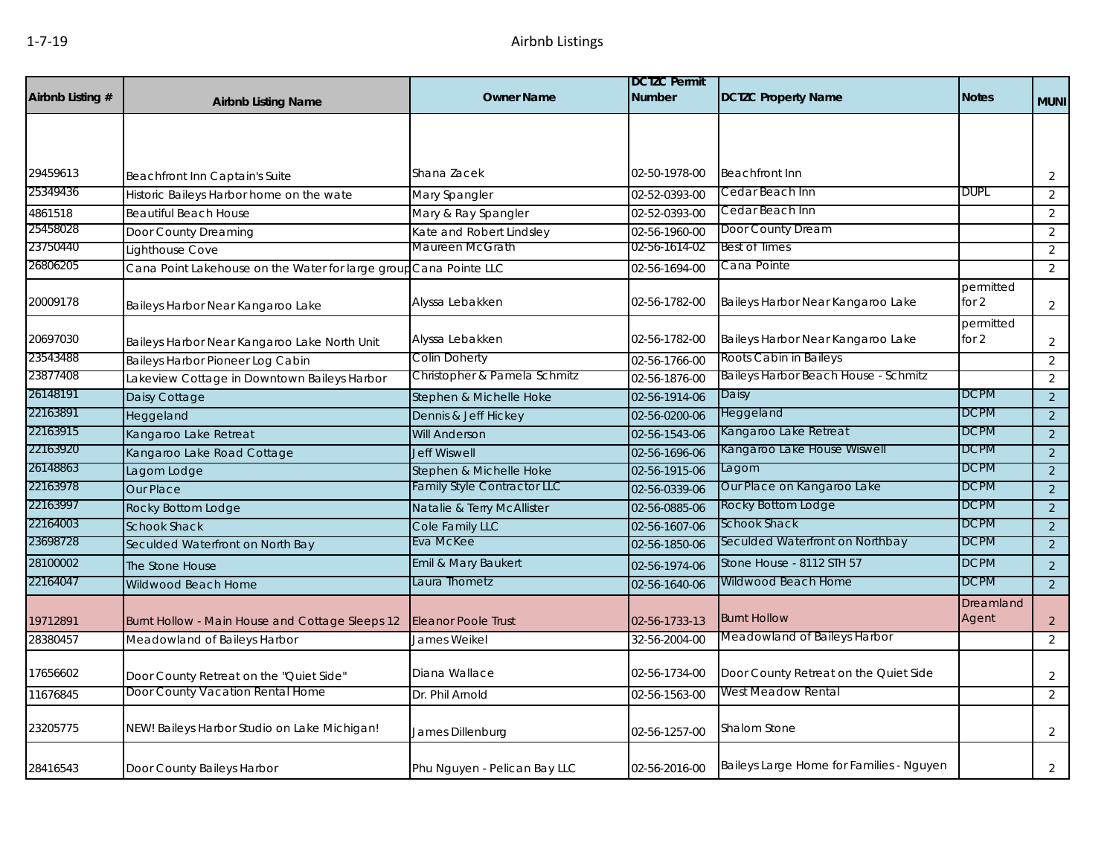| Airbnb Listing # | <b>Airbnb Listing Name</b>                                        | <b>Owner Name</b>                  | <b>DCTZC Permit</b><br><b>Number</b> | <b>DCTZC Property Name</b>               | <b>Notes</b>         | <b>MUNI</b>    |
|------------------|-------------------------------------------------------------------|------------------------------------|--------------------------------------|------------------------------------------|----------------------|----------------|
|                  |                                                                   |                                    |                                      |                                          |                      |                |
|                  |                                                                   |                                    |                                      |                                          |                      |                |
| 29459613         | Beachfront Inn Captain's Suite                                    | Shana Zacek                        | 02-50-1978-00                        | <b>Beachfront Inn</b>                    |                      | $\overline{2}$ |
| 25349436         | Historic Baileys Harbor home on the wate                          | Mary Spangler                      | 02-52-0393-00                        | Cedar Beach Inn                          | DUPL                 | 2              |
| 4861518          | <b>Beautiful Beach House</b>                                      | Mary & Ray Spangler                | 02-52-0393-00                        | Cedar Beach Inn                          |                      | 2              |
| 25458028         | Door County Dreaming                                              | Kate and Robert Lindsley           | 02-56-1960-00                        | Door County Dream                        |                      | 2              |
| 23750440         | Lighthouse Cove                                                   | Maureen McGrath                    | 02-56-1614-02                        | <b>Best of Times</b>                     |                      | 2              |
| 26806205         | Cana Point Lakehouse on the Water for large group Cana Pointe LLC |                                    | 02-56-1694-00                        | Cana Pointe                              |                      | 2              |
| 20009178         | Baileys Harbor Near Kangaroo Lake                                 | Alyssa Lebakken                    | 02-56-1782-00                        | Baileys Harbor Near Kangaroo Lake        | permitted<br>for 2   | $\overline{2}$ |
| 20697030         | Baileys Harbor Near Kangaroo Lake North Unit                      | Alyssa Lebakken                    | 02-56-1782-00                        | Baileys Harbor Near Kangaroo Lake        | permitted<br>for $2$ | $\overline{2}$ |
| 23543488         | Baileys Harbor Pioneer Log Cabin                                  | Colin Doherty                      | 02-56-1766-00                        | Roots Cabin in Baileys                   |                      | $\overline{2}$ |
| 23877408         | Lakeview Cottage in Downtown Baileys Harbor                       | Christopher & Pamela Schmitz       | 02-56-1876-00                        | Baileys Harbor Beach House - Schmitz     |                      | $\overline{2}$ |
| 26148191         | Daisy Cottage                                                     | Stephen & Michelle Hoke            | 02-56-1914-06                        | Daisy                                    | <b>DCPM</b>          | $\overline{2}$ |
| 22163891         | Heggeland                                                         | Dennis & Jeff Hickey               | 02-56-0200-06                        | Heggeland                                | <b>DCPM</b>          | 2              |
| 22163915         | Kangaroo Lake Retreat                                             | <b>Will Anderson</b>               | 02-56-1543-06                        | Kangaroo Lake Retreat                    | <b>DCPM</b>          | $\overline{2}$ |
| 22163920         | Kangaroo Lake Road Cottage                                        | <b>Jeff Wiswell</b>                | 02-56-1696-06                        | Kangaroo Lake House Wiswell              | <b>DCPM</b>          | 2              |
| 26148863         | Lagom Lodge                                                       | Stephen & Michelle Hoke            | 02-56-1915-06                        | Lagom                                    | <b>DCPM</b>          | 2              |
| 22163978         | Our Place                                                         | <b>Family Style Contractor LLC</b> | 02-56-0339-06                        | Our Place on Kangaroo Lake               | <b>DCPM</b>          | $\overline{2}$ |
| 22163997         | Rocky Bottom Lodge                                                | Natalie & Terry McAllister         | 02-56-0885-06                        | Rocky Bottom Lodge                       | <b>DCPM</b>          | 2              |
| 22164003         | <b>Schook Shack</b>                                               | Cole Family LLC                    | 02-56-1607-06                        | Schook Shack                             | <b>DCPM</b>          | 2              |
| 23698728         | Seculded Waterfront on North Bay                                  | Eva McKee                          | 02-56-1850-06                        | Seculded Waterfront on Northbay          | <b>DCPM</b>          | 2              |
| 28100002         | The Stone House                                                   | Emil & Mary Baukert                | 02-56-1974-06                        | Stone House - 8112 STH 57                | <b>DCPM</b>          | 2              |
| 22164047         | Wildwood Beach Home                                               | Laura Thometz                      | 02-56-1640-06                        | Wildwood Beach Home                      | <b>DCPM</b>          | 2              |
| 19712891         | Burnt Hollow - Main House and Cottage Sleeps 12                   | <b>Eleanor Poole Trust</b>         | 02-56-1733-13                        | <b>Burnt Hollow</b>                      | Dreamland<br>Agent   | 2              |
| 28380457         | Meadowland of Baileys Harbor                                      | James Weikel                       | 32-56-2004-00                        | Meadowland of Baileys Harbor             |                      | 2              |
| 17656602         | Door County Retreat on the "Quiet Side"                           | Diana Wallace                      | 02-56-1734-00                        | Door County Retreat on the Quiet Side    |                      | 2              |
| 11676845         | Door County Vacation Rental Home                                  | Dr. Phil Arnold                    | 02-56-1563-00                        | West Meadow Rental                       |                      | 2              |
| 23205775         | NEW! Baileys Harbor Studio on Lake Michigan!                      | James Dillenburg                   | 02-56-1257-00                        | Shalom Stone                             |                      | $\overline{2}$ |
| 28416543         | Door County Baileys Harbor                                        | Phu Nguyen - Pelican Bay LLC       | 02-56-2016-00                        | Baileys Large Home for Families - Nguyen |                      | $\overline{2}$ |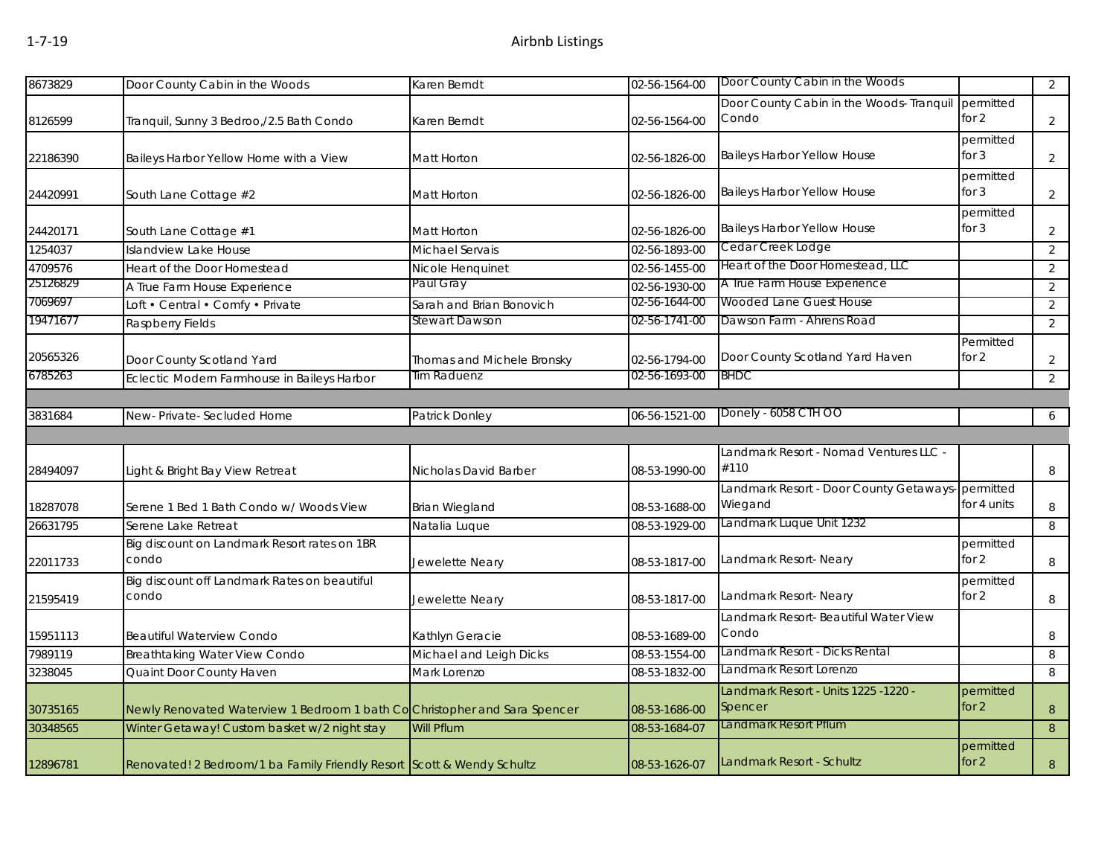| 8673829  | Door County Cabin in the Woods                                             | Karen Berndt               | 02-56-1564-00 | Door County Cabin in the Woods                              |                      | $\overline{2}$ |
|----------|----------------------------------------------------------------------------|----------------------------|---------------|-------------------------------------------------------------|----------------------|----------------|
| 8126599  | Tranquil, Sunny 3 Bedroo,/2.5 Bath Condo                                   | Karen Berndt               | 02-56-1564-00 | Door County Cabin in the Woods- Tranquil<br>Condo           | permitted<br>for $2$ | 2              |
| 22186390 | Baileys Harbor Yellow Home with a View                                     | Matt Horton                | 02-56-1826-00 | Baileys Harbor Yellow House                                 | permitted<br>for $3$ | $\overline{2}$ |
| 24420991 | South Lane Cottage #2                                                      | Matt Horton                | 02-56-1826-00 | Baileys Harbor Yellow House                                 | permitted<br>for $3$ | $\overline{2}$ |
| 24420171 | South Lane Cottage #1                                                      | Matt Horton                | 02-56-1826-00 | <b>Baileys Harbor Yellow House</b>                          | permitted<br>for $3$ | $\overline{a}$ |
| 1254037  | <b>Islandview Lake House</b>                                               | Michael Servais            | 02-56-1893-00 | Cedar Creek Lodge                                           |                      | $\overline{2}$ |
| 4709576  | <b>Heart of the Door Homestead</b>                                         | Nicole Henquinet           | 02-56-1455-00 | Heart of the Door Homestead, LLC                            |                      | $\overline{2}$ |
| 25126829 | A True Farm House Experience                                               | Paul Gray                  | 02-56-1930-00 | A True Farm House Experience                                |                      | $\overline{2}$ |
| 7069697  | Loft • Central • Comfy • Private                                           | Sarah and Brian Bonovich   | 02-56-1644-00 | Wooded Lane Guest House                                     |                      | $\overline{2}$ |
| 19471677 | Raspberry Fields                                                           | Stewart Dawson             | 02-56-1741-00 | Dawson Farm - Ahrens Road                                   |                      | $\overline{2}$ |
| 20565326 | Door County Scotland Yard                                                  | Thomas and Michele Bronsky | 02-56-1794-00 | Door County Scotland Yard Haven                             | Permitted<br>for $2$ | $\overline{2}$ |
| 6785263  | Eclectic Modern Farmhouse in Baileys Harbor                                | Tim Raduenz                | 02-56-1693-00 | <b>BHDC</b>                                                 |                      | $\overline{2}$ |
|          |                                                                            |                            |               |                                                             |                      |                |
| 3831684  | New-Private-Secluded Home                                                  | Patrick Donley             | 06-56-1521-00 | Donely - 6058 CTH OO                                        |                      | 6              |
|          |                                                                            |                            |               |                                                             |                      |                |
| 28494097 | Light & Bright Bay View Retreat                                            | Nicholas David Barber      | 08-53-1990-00 | Landmark Resort - Nomad Ventures LLC -<br>#110              |                      | 8              |
| 18287078 | Serene 1 Bed 1 Bath Condo w/ Woods View                                    | <b>Brian Wiegland</b>      | 08-53-1688-00 | Landmark Resort - Door County Getaways-permitted<br>Wiegand | for 4 units          | 8              |
| 26631795 | Serene Lake Retreat                                                        | Natalia Luque              | 08-53-1929-00 | Landmark Luque Unit 1232                                    |                      | 8              |
| 22011733 | Big discount on Landmark Resort rates on 1BR<br>condo                      | Jewelette Neary            | 08-53-1817-00 | Landmark Resort-Neary                                       | permitted<br>for 2   | 8              |
| 21595419 | Big discount off Landmark Rates on beautiful<br>condo                      | Jewelette Neary            | 08-53-1817-00 | Landmark Resort- Neary                                      | permitted<br>for 2   | 8              |
| 15951113 | Beautiful Waterview Condo                                                  | Kathlyn Geracie            | 08-53-1689-00 | Landmark Resort- Beautiful Water View<br>Condo              |                      | 8              |
| 7989119  | Breathtaking Water View Condo                                              | Michael and Leigh Dicks    | 08-53-1554-00 | Landmark Resort - Dicks Rental                              |                      | 8              |
| 3238045  | Quaint Door County Haven                                                   | Mark Lorenzo               | 08-53-1832-00 | Landmark Resort Lorenzo                                     |                      | 8              |
| 30735165 | Newly Renovated Waterview 1 Bedroom 1 bath Co Christopher and Sara Spencer |                            | 08-53-1686-00 | Landmark Resort - Units 1225 -1220 -<br>Spencer             | permitted<br>for $2$ | 8              |
| 30348565 | Winter Getaway! Custom basket w/2 night stay                               | Will Pflum                 | 08-53-1684-07 | Landmark Resort Pflum                                       |                      | 8              |
| 12896781 | Renovated! 2 Bedroom/1 ba Family Friendly Resort Scott & Wendy Schultz     |                            | 08-53-1626-07 | Landmark Resort - Schultz                                   | permitted<br>for $2$ | $\, 8$         |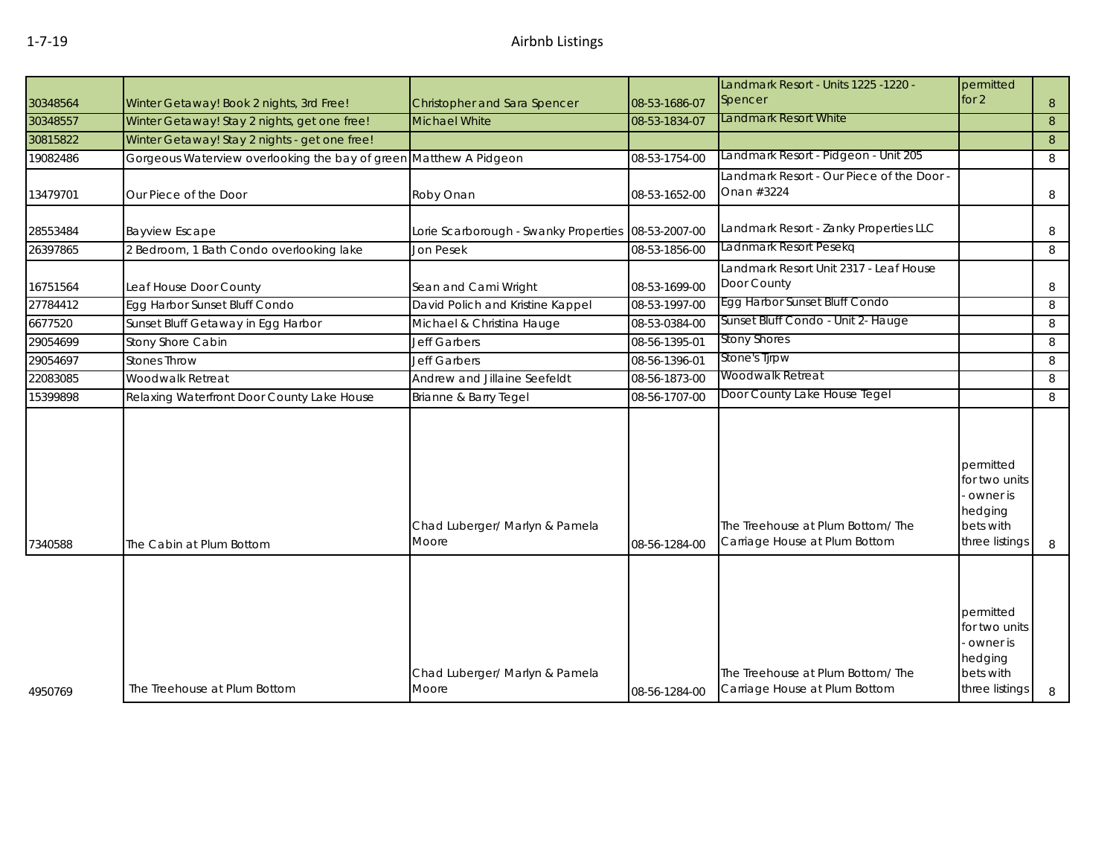|          |                                                                   |                                         |               | Landmark Resort - Units 1225 -1220 -                                                   | permitted                                                                        |   |
|----------|-------------------------------------------------------------------|-----------------------------------------|---------------|----------------------------------------------------------------------------------------|----------------------------------------------------------------------------------|---|
| 30348564 | Winter Getaway! Book 2 nights, 3rd Free!                          | Christopher and Sara Spencer            | 08-53-1686-07 | Spencer                                                                                | for 2                                                                            | 8 |
| 30348557 | Winter Getaway! Stay 2 nights, get one free!                      | Michael White                           | 08-53-1834-07 | Landmark Resort White                                                                  |                                                                                  | 8 |
| 30815822 | Winter Getaway! Stay 2 nights - get one free!                     |                                         |               |                                                                                        |                                                                                  | 8 |
| 19082486 | Gorgeous Waterview overlooking the bay of green Matthew A Pidgeon |                                         | 08-53-1754-00 | Landmark Resort - Pidgeon - Unit 205                                                   |                                                                                  | 8 |
| 13479701 | Our Piece of the Door                                             | Roby Onan                               | 08-53-1652-00 | Landmark Resort - Our Piece of the Door -<br>Onan #3224                                |                                                                                  | 8 |
| 28553484 | <b>Bayview Escape</b>                                             | Lorie Scarborough - Swanky Properties   | 08-53-2007-00 | Landmark Resort - Zanky Properties LLC                                                 |                                                                                  | 8 |
| 26397865 | 2 Bedroom, 1 Bath Condo overlooking lake                          | <b>Jon Pesek</b>                        | 08-53-1856-00 | Ladnmark Resort Pesekg                                                                 |                                                                                  | 8 |
| 16751564 | Leaf House Door County                                            | Sean and Cami Wright                    | 08-53-1699-00 | Landmark Resort Unit 2317 - Leaf House<br>Door County<br>Egg Harbor Sunset Bluff Condo |                                                                                  | 8 |
| 27784412 | Egg Harbor Sunset Bluff Condo                                     | David Polich and Kristine Kappel        | 08-53-1997-00 |                                                                                        |                                                                                  | 8 |
| 6677520  | Sunset Bluff Getaway in Egg Harbor                                | Michael & Christina Hauge               | 08-53-0384-00 | Sunset Bluff Condo - Unit 2- Hauge                                                     |                                                                                  | 8 |
| 29054699 | Stony Shore Cabin                                                 | <b>Jeff Garbers</b>                     | 08-56-1395-01 | <b>Stony Shores</b>                                                                    |                                                                                  | 8 |
| 29054697 | <b>Stones Throw</b>                                               | <b>Jeff Garbers</b>                     | 08-56-1396-01 | Stone's Tjrpw                                                                          |                                                                                  | 8 |
| 22083085 | Woodwalk Retreat                                                  | Andrew and Jillaine Seefeldt            | 08-56-1873-00 | Woodwalk Retreat                                                                       |                                                                                  | 8 |
| 15399898 | Relaxing Waterfront Door County Lake House                        | Brianne & Barry Tegel                   | 08-56-1707-00 | Door County Lake House Tegel                                                           |                                                                                  | 8 |
| 7340588  | The Cabin at Plum Bottom                                          | Chad Luberger/ Marlyn & Pamela<br>Moore | 08-56-1284-00 | The Treehouse at Plum Bottom/The<br>Carriage House at Plum Bottom                      | permitted<br>for two units<br>owner is<br>hedging<br>bets with<br>three listings | 8 |
| 4950769  | The Treehouse at Plum Bottom                                      | Chad Luberger/ Marlyn & Pamela<br>Moore | 08-56-1284-00 | The Treehouse at Plum Bottom/The<br>Carriage House at Plum Bottom                      | permitted<br>for two units<br>owner is<br>hedging<br>bets with<br>three listings | 8 |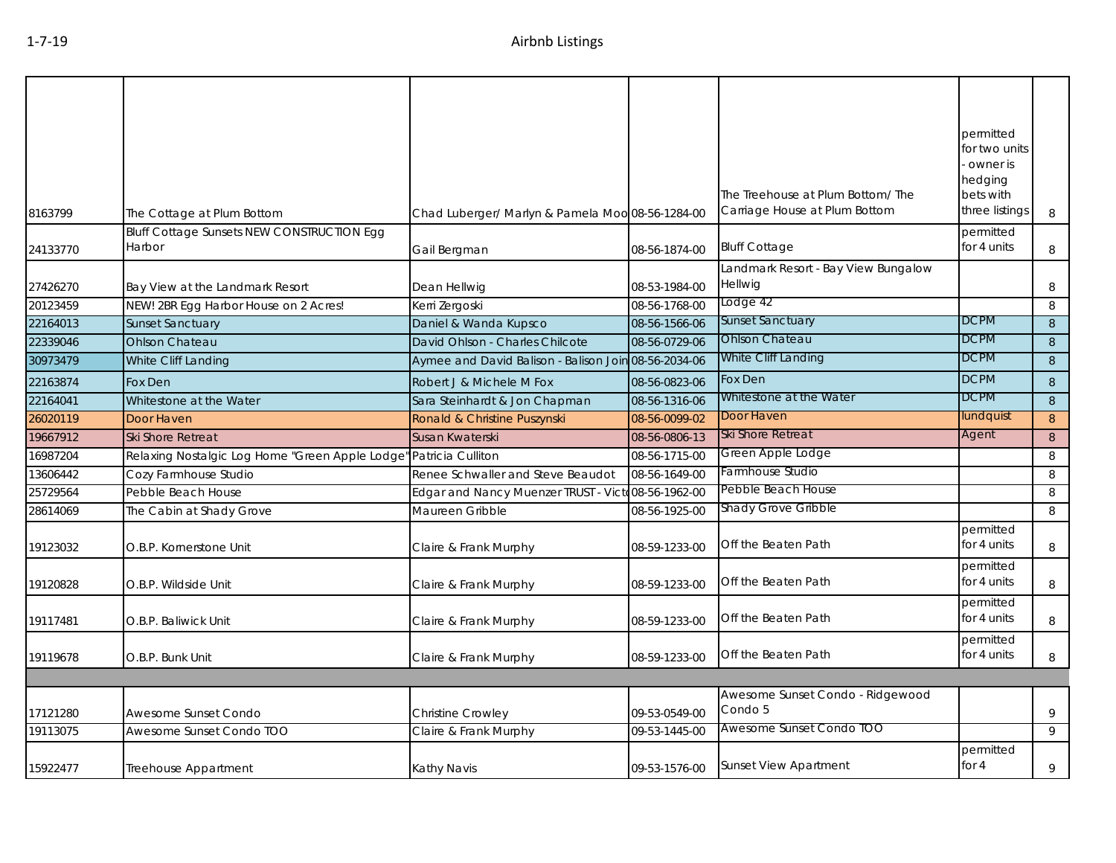|          |                                                             |                                                    |               | The Treehouse at Plum Bottom/The               | permitted<br>for two units<br>owner is<br>hedging<br>bets with |        |
|----------|-------------------------------------------------------------|----------------------------------------------------|---------------|------------------------------------------------|----------------------------------------------------------------|--------|
| 8163799  | The Cottage at Plum Bottom                                  | Chad Luberger/ Marlyn & Pamela Moo 08-56-1284-00   |               | Carriage House at Plum Bottom                  | three listings                                                 | 8      |
| 24133770 | <b>Bluff Cottage Sunsets NEW CONSTRUCTION Egg</b><br>Harbor | Gail Bergman                                       | 08-56-1874-00 | <b>Bluff Cottage</b>                           | permitted<br>for 4 units                                       | 8      |
| 27426270 | Bay View at the Landmark Resort                             | Dean Hellwig                                       | 08-53-1984-00 | Landmark Resort - Bay View Bungalow<br>Hellwig |                                                                | 8      |
| 20123459 | NEW! 2BR Egg Harbor House on 2 Acres!                       | Kerri Zergoski                                     | 08-56-1768-00 | Lodge 42                                       |                                                                | 8      |
| 22164013 | <b>Sunset Sanctuary</b>                                     | Daniel & Wanda Kupsco                              | 08-56-1566-06 | <b>Sunset Sanctuary</b>                        | <b>DCPM</b>                                                    | 8      |
| 22339046 | <b>Ohlson Chateau</b>                                       | David Ohlson - Charles Chilcote                    | 08-56-0729-06 | <b>Ohlson Chateau</b>                          | <b>DCPM</b>                                                    | 8      |
| 30973479 | White Cliff Landing                                         | Aymee and David Balison - Balison Join             | 08-56-2034-06 | White Cliff Landing                            | <b>DCPM</b>                                                    | 8      |
| 22163874 | Fox Den                                                     | Robert J & Michele M Fox                           | 08-56-0823-06 | Fox Den                                        | <b>DCPM</b>                                                    | 8      |
| 22164041 | Whitestone at the Water                                     | Sara Steinhardt & Jon Chapman                      | 08-56-1316-06 | Whitestone at the Water                        | <b>DCPM</b>                                                    | $\, 8$ |
| 26020119 | Door Haven                                                  | Ronald & Christine Puszynski                       | 08-56-0099-02 | Door Haven                                     | lundquist                                                      | 8      |
| 19667912 | <b>Ski Shore Retreat</b>                                    | Susan Kwaterski                                    | 08-56-0806-13 | Ski Shore Retreat                              | Agent                                                          | 8      |
| 16987204 | Relaxing Nostalgic Log Home "Green Apple Lodge"             | Patricia Culliton                                  | 08-56-1715-00 | Green Apple Lodge                              |                                                                | 8      |
| 13606442 | Cozy Farmhouse Studio                                       | Renee Schwaller and Steve Beaudot                  | 08-56-1649-00 | Farmhouse Studio                               |                                                                | 8      |
| 25729564 | Pebble Beach House                                          | Edgar and Nancy Muenzer TRUST - Victo08-56-1962-00 |               | Pebble Beach House                             |                                                                | 8      |
| 28614069 | The Cabin at Shady Grove                                    | Maureen Gribble                                    | 08-56-1925-00 | Shady Grove Gribble                            |                                                                | 8      |
| 19123032 | O.B.P. Kornerstone Unit                                     | Claire & Frank Murphy                              | 08-59-1233-00 | Off the Beaten Path                            | permitted<br>for 4 units                                       | 8      |
| 19120828 | O.B.P. Wildside Unit                                        | Claire & Frank Murphy                              | 08-59-1233-00 | Off the Beaten Path                            | permitted<br>for 4 units                                       | 8      |
| 19117481 | O.B.P. Baliwick Unit                                        | Claire & Frank Murphy                              | 08-59-1233-00 | Off the Beaten Path                            | permitted<br>for 4 units                                       | 8      |
| 19119678 | O.B.P. Bunk Unit                                            | Claire & Frank Murphy                              | 08-59-1233-00 | Off the Beaten Path                            | permitted<br>for 4 units                                       | 8      |
|          |                                                             |                                                    |               |                                                |                                                                |        |
| 17121280 | Awesome Sunset Condo                                        | Christine Crowley                                  | 09-53-0549-00 | Awesome Sunset Condo - Ridgewood<br>Condo 5    |                                                                | 9      |
| 19113075 | Awesome Sunset Condo TOO                                    | Claire & Frank Murphy                              | 09-53-1445-00 | Awesome Sunset Condo TOO                       |                                                                | 9      |
| 15922477 | Treehouse Appartment                                        | Kathy Navis                                        | 09-53-1576-00 | <b>Sunset View Apartment</b>                   | permitted<br>for $4$                                           | 9      |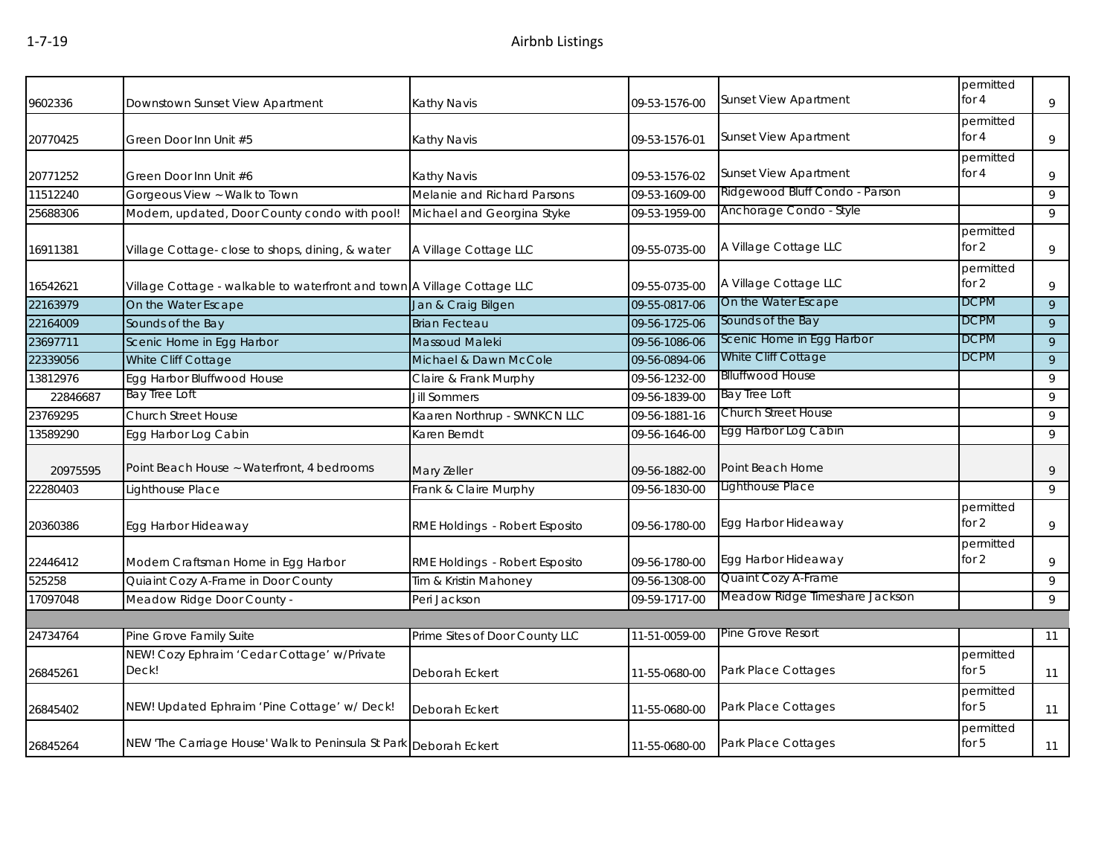| 9602336  | Downstown Sunset View Apartment                                         | <b>Kathy Navis</b>             | 09-53-1576-00 | <b>Sunset View Apartment</b>   | permitted<br>for 4   | 9              |
|----------|-------------------------------------------------------------------------|--------------------------------|---------------|--------------------------------|----------------------|----------------|
| 20770425 | Green Door Inn Unit #5                                                  | Kathy Navis                    | 09-53-1576-01 | <b>Sunset View Apartment</b>   | permitted<br>for 4   | 9              |
| 20771252 | Green Door Inn Unit #6                                                  | Kathy Navis                    | 09-53-1576-02 | <b>Sunset View Apartment</b>   | permitted<br>for 4   | 9              |
| 11512240 | Gorgeous View ~ Walk to Town                                            | Melanie and Richard Parsons    | 09-53-1609-00 | Ridgewood Bluff Condo - Parson |                      | 9              |
| 25688306 | Modern, updated, Door County condo with pool!                           | Michael and Georgina Styke     | 09-53-1959-00 | Anchorage Condo - Style        |                      | 9              |
| 16911381 | Village Cottage- close to shops, dining, & water                        | A Village Cottage LLC          | 09-55-0735-00 | A Village Cottage LLC          | permitted<br>for 2   | 9              |
| 16542621 | Village Cottage - walkable to waterfront and town A Village Cottage LLC |                                | 09-55-0735-00 | A Village Cottage LLC          | permitted<br>for $2$ | 9              |
| 22163979 | On the Water Escape                                                     | Jan & Craig Bilgen             | 09-55-0817-06 | On the Water Escape            | <b>DCPM</b>          | 9              |
| 22164009 | Sounds of the Bay                                                       | <b>Brian Fecteau</b>           | 09-56-1725-06 | Sounds of the Bay              | <b>DCPM</b>          | 9              |
| 23697711 | Scenic Home in Egg Harbor                                               | Massoud Maleki                 | 09-56-1086-06 | Scenic Home in Egg Harbor      | <b>DCPM</b>          | 9              |
| 22339056 | White Cliff Cottage                                                     | Michael & Dawn McCole          | 09-56-0894-06 | White Cliff Cottage            | <b>DCPM</b>          | 9              |
| 13812976 | Egg Harbor Bluffwood House                                              | Claire & Frank Murphy          | 09-56-1232-00 | <b>Blluffwood House</b>        |                      | 9              |
| 22846687 | Bay Tree Loft                                                           | <b>Jill Sommers</b>            | 09-56-1839-00 | Bay Tree Loft                  |                      | 9              |
| 23769295 | <b>Church Street House</b>                                              | Kaaren Northrup - SWNKCN LLC   | 09-56-1881-16 | Church Street House            |                      | 9              |
| 13589290 | Egg Harbor Log Cabin                                                    | Karen Berndt                   | 09-56-1646-00 | Egg Harbor Log Cabin           |                      | 9              |
| 20975595 | Point Beach House ~ Waterfront, 4 bedrooms                              | Mary Zeller                    | 09-56-1882-00 | Point Beach Home               |                      | 9              |
| 22280403 | Lighthouse Place                                                        | Frank & Claire Murphy          | 09-56-1830-00 | Lighthouse Place               |                      | $\overline{9}$ |
| 20360386 | Egg Harbor Hideaway                                                     | RME Holdings - Robert Esposito | 09-56-1780-00 | Egg Harbor Hideaway            | permitted<br>for $2$ | 9              |
| 22446412 | Modern Craftsman Home in Egg Harbor                                     | RME Holdings - Robert Esposito | 09-56-1780-00 | Egg Harbor Hideaway            | permitted<br>for 2   | 9              |
| 525258   | Quiaint Cozy A-Frame in Door County                                     | Tim & Kristin Mahoney          | 09-56-1308-00 | Quaint Cozy A-Frame            |                      | 9              |
| 17097048 | Meadow Ridge Door County -                                              | Peri Jackson                   | 09-59-1717-00 | Meadow Ridge Timeshare Jackson |                      | 9              |
|          |                                                                         |                                |               |                                |                      |                |
| 24734764 | Pine Grove Family Suite                                                 | Prime Sites of Door County LLC | 11-51-0059-00 | Pine Grove Resort              |                      | 11             |
| 26845261 | NEW! Cozy Ephraim 'Cedar Cottage' w/Private<br>Deck!                    | Deborah Eckert                 | 11-55-0680-00 | Park Place Cottages            | permitted<br>for $5$ | 11             |
| 26845402 | NEW! Updated Ephraim 'Pine Cottage' w/ Deck!                            | Deborah Eckert                 | 11-55-0680-00 | Park Place Cottages            | permitted<br>for $5$ | 11             |
| 26845264 | NEW 'The Carriage House' Walk to Peninsula St Park Deborah Eckert       |                                | 11-55-0680-00 | Park Place Cottages            | permitted<br>for 5   | 11             |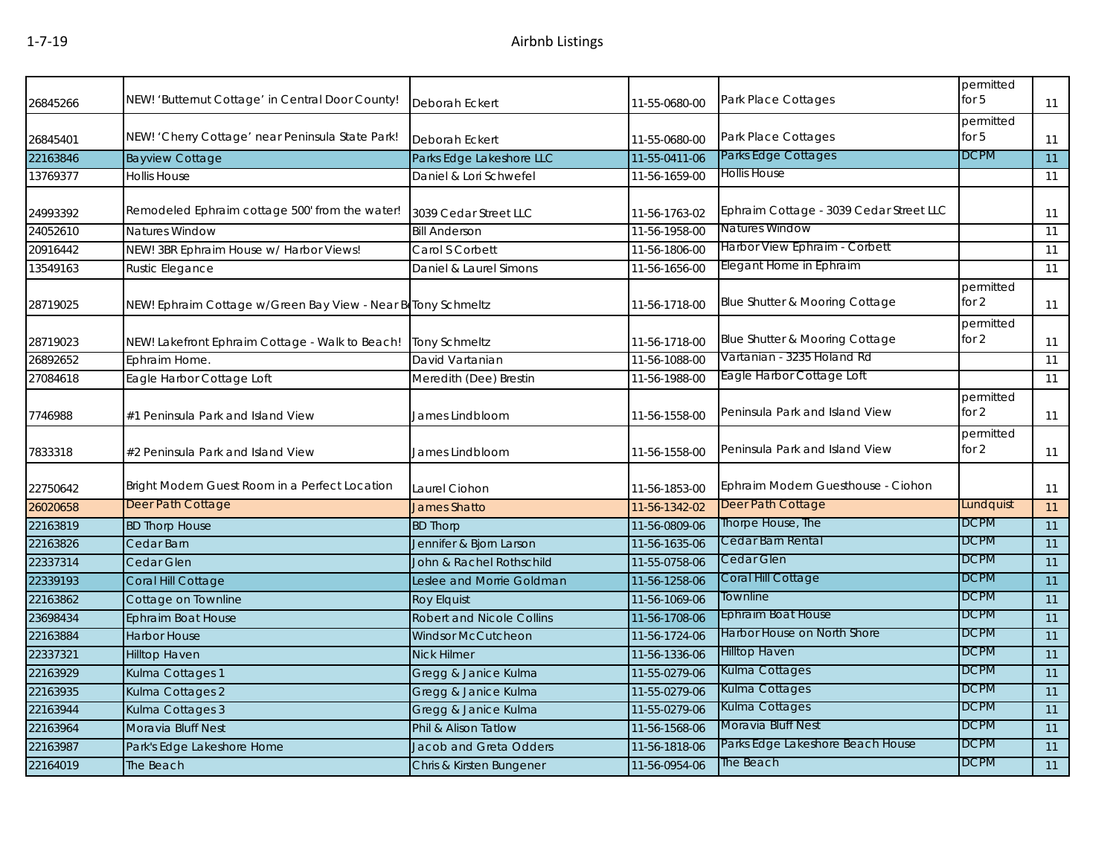| 26845266 | NEW! 'Butternut Cottage' in Central Door County!             | Deborah Eckert                   | 11-55-0680-00 | Park Place Cottages                     | permitted<br>for $5$ | 11              |
|----------|--------------------------------------------------------------|----------------------------------|---------------|-----------------------------------------|----------------------|-----------------|
| 26845401 | NEW! 'Cherry Cottage' near Peninsula State Park!             | Deborah Eckert                   | 11-55-0680-00 | Park Place Cottages                     | permitted<br>for $5$ | 11              |
| 22163846 | <b>Bayview Cottage</b>                                       | Parks Edge Lakeshore LLC         | 11-55-0411-06 | Parks Edge Cottages                     | <b>DCPM</b>          | 11              |
| 13769377 | <b>Hollis House</b>                                          | Daniel & Lori Schwefel           | 11-56-1659-00 | Hollis House                            |                      | 11              |
| 24993392 | Remodeled Ephraim cottage 500' from the water!               | 3039 Cedar Street LLC            | 11-56-1763-02 | Ephraim Cottage - 3039 Cedar Street LLC |                      | 11              |
| 24052610 | <b>Natures Window</b>                                        | <b>Bill Anderson</b>             | 11-56-1958-00 | <b>Natures Window</b>                   |                      | 11              |
| 20916442 | NEW! 3BR Ephraim House w/ Harbor Views!                      | Carol S Corbett                  | 11-56-1806-00 | Harbor View Ephraim - Corbett           |                      | 11              |
| 13549163 | Rustic Elegance                                              | Daniel & Laurel Simons           | 11-56-1656-00 | Elegant Home in Ephraim                 |                      | 11              |
| 28719025 | NEW! Ephraim Cottage w/Green Bay View - Near BeTony Schmeltz |                                  | 11-56-1718-00 | Blue Shutter & Mooring Cottage          | permitted<br>for $2$ | 11              |
| 28719023 | NEW! Lakefront Ephraim Cottage - Walk to Beach!              | <b>Tony Schmeltz</b>             | 11-56-1718-00 | Blue Shutter & Mooring Cottage          | permitted<br>for 2   | 11              |
| 26892652 | Ephraim Home.                                                | David Vartanian                  | 11-56-1088-00 | Vartanian - 3235 Holand Rd              |                      | 11              |
| 27084618 | Eagle Harbor Cottage Loft                                    | Meredith (Dee) Brestin           | 11-56-1988-00 | Eagle Harbor Cottage Loft               |                      | 11              |
| 7746988  | #1 Peninsula Park and Island View                            | James Lindbloom                  | 11-56-1558-00 | Peninsula Park and Island View          | permitted<br>for $2$ | 11              |
| 7833318  | #2 Peninsula Park and Island View                            | James Lindbloom                  | 11-56-1558-00 | Peninsula Park and Island View          | permitted<br>for $2$ | 11              |
| 22750642 | Bright Modern Guest Room in a Perfect Location               | Laurel Ciohon                    | 11-56-1853-00 | Ephraim Modern Guesthouse - Ciohon      |                      | 11              |
| 26020658 | Deer Path Cottage                                            | <b>James Shatto</b>              | 11-56-1342-02 | Deer Path Cottage                       | Lundquist            | 11              |
| 22163819 | <b>BD Thorp House</b>                                        | <b>BD Thorp</b>                  | 11-56-0809-06 | Thorpe House, The                       | <b>DCPM</b>          | 11              |
| 22163826 | Cedar Barn                                                   | Jennifer & Bjorn Larson          | 11-56-1635-06 | Cedar Barn Rental                       | <b>DCPM</b>          | 11              |
| 22337314 | Cedar Glen                                                   | John & Rachel Rothschild         | 11-55-0758-06 | Cedar Glen                              | <b>DCPM</b>          | 11              |
| 22339193 | Coral Hill Cottage                                           | Leslee and Morrie Goldman        | 11-56-1258-06 | Coral Hill Cottage                      | <b>DCPM</b>          | 11              |
| 22163862 | Cottage on Townline                                          | <b>Roy Elquist</b>               | 11-56-1069-06 | Townline                                | <b>DCPM</b>          | 11              |
| 23698434 | <b>Ephraim Boat House</b>                                    | <b>Robert and Nicole Collins</b> | 11-56-1708-06 | Ephraim Boat House                      | <b>DCPM</b>          | 11              |
| 22163884 | <b>Harbor House</b>                                          | Windsor McCutcheon               | 11-56-1724-06 | Harbor House on North Shore             | <b>DCPM</b>          | 11              |
| 22337321 | <b>Hilltop Haven</b>                                         | <b>Nick Hilmer</b>               | 11-56-1336-06 | <b>Hilltop Haven</b>                    | <b>DCPM</b>          | 11              |
| 22163929 | Kulma Cottages 1                                             | Gregg & Janice Kulma             | 11-55-0279-06 | Kulma Cottages                          | <b>DCPM</b>          | 11              |
| 22163935 | Kulma Cottages 2                                             | Gregg & Janice Kulma             | 11-55-0279-06 | Kulma Cottages                          | <b>DCPM</b>          | 11              |
| 22163944 | Kulma Cottages 3                                             | Gregg & Janice Kulma             | 11-55-0279-06 | Kulma Cottages                          | <b>DCPM</b>          | 11              |
| 22163964 | Moravia Bluff Nest                                           | Phil & Alison Tatlow             | 11-56-1568-06 | Moravia Bluff Nest                      | <b>DCPM</b>          | $\overline{11}$ |
| 22163987 | Park's Edge Lakeshore Home                                   | Jacob and Greta Odders           | 11-56-1818-06 | Parks Edge Lakeshore Beach House        | <b>DCPM</b>          | 11              |
| 22164019 | The Beach                                                    | Chris & Kirsten Bungener         | 11-56-0954-06 | The Beach                               | <b>DCPM</b>          | 11              |
|          |                                                              |                                  |               |                                         |                      |                 |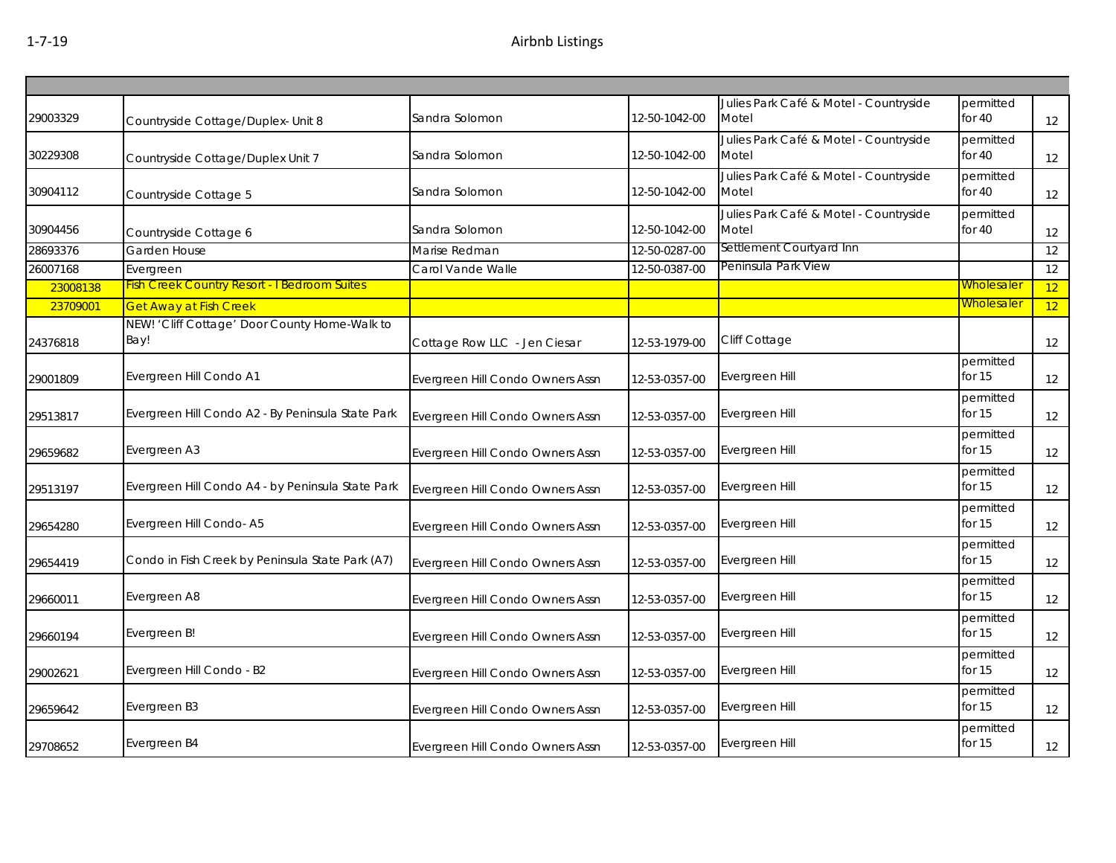| 29003329 | Countryside Cottage/Duplex- Unit 8                    | Sandra Solomon                   | 12-50-1042-00 | Julies Park Café & Motel - Countryside<br>Motel | permitted<br>for 40   | 12 |
|----------|-------------------------------------------------------|----------------------------------|---------------|-------------------------------------------------|-----------------------|----|
| 30229308 | Countryside Cottage/Duplex Unit 7                     | Sandra Solomon                   | 12-50-1042-00 | Julies Park Café & Motel - Countryside<br>Motel | permitted<br>for $40$ | 12 |
| 30904112 | Countryside Cottage 5                                 | Sandra Solomon                   | 12-50-1042-00 | Julies Park Café & Motel - Countryside<br>Motel | permitted<br>for 40   | 12 |
| 30904456 | Countryside Cottage 6                                 | Sandra Solomon                   | 12-50-1042-00 | Julies Park Café & Motel - Countryside<br>Motel | permitted<br>for 40   | 12 |
| 28693376 | Garden House                                          | Marise Redman                    | 12-50-0287-00 | Settlement Courtyard Inn                        |                       | 12 |
| 26007168 | Evergreen                                             | Carol Vande Walle                | 12-50-0387-00 | Peninsula Park View                             |                       | 12 |
| 23008138 | <b>Fish Creek Country Resort - I Bedroom Suites</b>   |                                  |               |                                                 | <b>Wholesaler</b>     | 12 |
| 23709001 | <b>Get Away at Fish Creek</b>                         |                                  |               |                                                 | <b>Wholesaler</b>     | 12 |
| 24376818 | NEW! 'Cliff Cottage' Door County Home-Walk to<br>Bay! | Cottage Row LLC - Jen Ciesar     | 12-53-1979-00 | Cliff Cottage                                   |                       | 12 |
| 29001809 | Evergreen Hill Condo A1                               | Evergreen Hill Condo Owners Assn | 12-53-0357-00 | Evergreen Hill                                  | permitted<br>for $15$ | 12 |
| 29513817 | Evergreen Hill Condo A2 - By Peninsula State Park     | Evergreen Hill Condo Owners Assn | 12-53-0357-00 | Evergreen Hill                                  | permitted<br>for 15   | 12 |
| 29659682 | Evergreen A3                                          | Evergreen Hill Condo Owners Assn | 12-53-0357-00 | Evergreen Hill                                  | permitted<br>for $15$ | 12 |
| 29513197 | Evergreen Hill Condo A4 - by Peninsula State Park     | Evergreen Hill Condo Owners Assn | 12-53-0357-00 | Evergreen Hill                                  | permitted<br>for $15$ | 12 |
| 29654280 | Evergreen Hill Condo-A5                               | Evergreen Hill Condo Owners Assn | 12-53-0357-00 | Evergreen Hill                                  | permitted<br>for $15$ | 12 |
| 29654419 | Condo in Fish Creek by Peninsula State Park (A7)      | Evergreen Hill Condo Owners Assn | 12-53-0357-00 | Evergreen Hill                                  | permitted<br>for $15$ | 12 |
| 29660011 | Evergreen A8                                          | Evergreen Hill Condo Owners Assn | 12-53-0357-00 | Evergreen Hill                                  | permitted<br>for $15$ | 12 |
| 29660194 | Evergreen B!                                          | Evergreen Hill Condo Owners Assn | 12-53-0357-00 | Evergreen Hill                                  | permitted<br>for $15$ | 12 |
| 29002621 | Evergreen Hill Condo - B2                             | Evergreen Hill Condo Owners Assn | 12-53-0357-00 | Evergreen Hill                                  | permitted<br>for $15$ | 12 |
| 29659642 | Evergreen B3                                          | Evergreen Hill Condo Owners Assn | 12-53-0357-00 | Evergreen Hill                                  | permitted<br>for $15$ | 12 |
| 29708652 | Evergreen B4                                          | Evergreen Hill Condo Owners Assn | 12-53-0357-00 | Evergreen Hill                                  | permitted<br>for $15$ | 12 |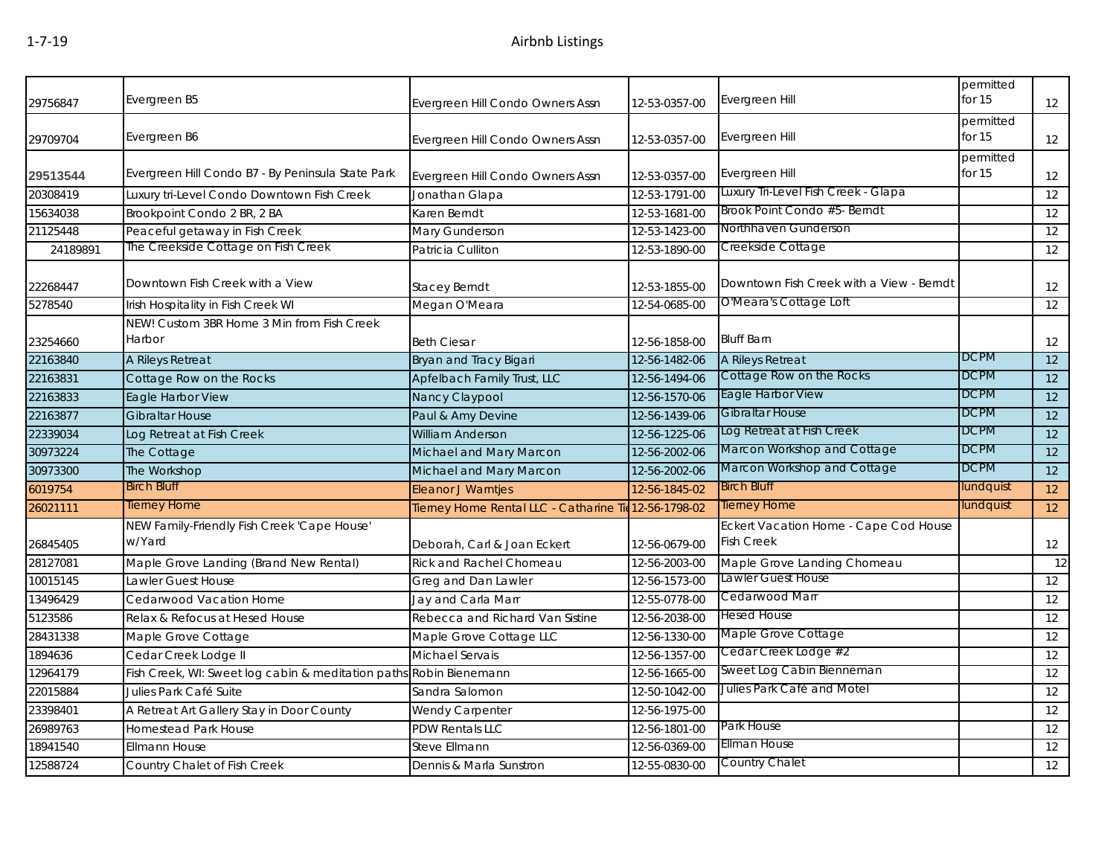| 29756847 | Evergreen B5                                                       | Evergreen Hill Condo Owners Assn                      | 12-53-0357-00 | Evergreen Hill                                             | permitted<br>for 15   | 12              |
|----------|--------------------------------------------------------------------|-------------------------------------------------------|---------------|------------------------------------------------------------|-----------------------|-----------------|
| 29709704 | Evergreen B6                                                       | Evergreen Hill Condo Owners Assn                      | 12-53-0357-00 | Evergreen Hill                                             | permitted<br>for $15$ | 12              |
| 29513544 | Evergreen Hill Condo B7 - By Peninsula State Park                  | Evergreen Hill Condo Owners Assn                      | 12-53-0357-00 | Evergreen Hill                                             | permitted<br>for $15$ | 12              |
| 20308419 | Luxury tri-Level Condo Downtown Fish Creek                         | Jonathan Glapa                                        | 12-53-1791-00 | Luxury Tri-Level Fish Creek - Glapa                        |                       | 12              |
| 15634038 | Brookpoint Condo 2 BR, 2 BA                                        | Karen Berndt                                          | 12-53-1681-00 | Brook Point Condo #5- Berndt                               |                       | 12              |
| 21125448 | Peaceful getaway in Fish Creek                                     | Mary Gunderson                                        | 12-53-1423-00 | Northhaven Gunderson                                       |                       | 12              |
| 24189891 | The Creekside Cottage on Fish Creek                                | Patricia Culliton                                     | 12-53-1890-00 | Creekside Cottage                                          |                       | $\overline{12}$ |
| 22268447 | Downtown Fish Creek with a View                                    | <b>Stacey Berndt</b>                                  | 12-53-1855-00 | Downtown Fish Creek with a View - Berndt                   |                       | 12              |
| 5278540  | Irish Hospitality in Fish Creek WI                                 | Megan O'Meara                                         | 12-54-0685-00 | O'Meara's Cottage Loft                                     |                       | 12              |
| 23254660 | NEW! Custom 3BR Home 3 Min from Fish Creek<br>Harbor               | <b>Beth Ciesar</b>                                    | 12-56-1858-00 | <b>Bluff Barn</b>                                          |                       | 12              |
| 22163840 | A Rileys Retreat                                                   | Bryan and Tracy Bigari                                | 12-56-1482-06 | A Rileys Retreat                                           | <b>DCPM</b>           | $\overline{12}$ |
| 22163831 | Cottage Row on the Rocks                                           | Apfelbach Family Trust, LLC                           | 12-56-1494-06 | Cottage Row on the Rocks                                   | <b>DCPM</b>           | 12              |
| 22163833 | Eagle Harbor View                                                  | Nancy Claypool                                        | 12-56-1570-06 | Eagle Harbor View                                          | <b>DCPM</b>           | 12              |
| 22163877 | <b>Gibraltar House</b>                                             | Paul & Amy Devine                                     | 12-56-1439-06 | Gibraltar House                                            | <b>DCPM</b>           | 12              |
| 22339034 | Log Retreat at Fish Creek                                          | <b>William Anderson</b>                               | 12-56-1225-06 | Log Retreat at Fish Creek                                  | <b>DCPM</b>           | 12              |
| 30973224 | The Cottage                                                        | Michael and Mary Marcon                               | 12-56-2002-06 | Marcon Workshop and Cottage                                | DCPM                  | $\overline{12}$ |
| 30973300 | The Workshop                                                       | Michael and Mary Marcon                               | 12-56-2002-06 | Marcon Workshop and Cottage                                | DCPM                  | $\overline{12}$ |
| 6019754  | <b>Birch Bluff</b>                                                 | Eleanor J Warntjes                                    | 12-56-1845-02 | <b>Birch Bluff</b>                                         | lundquist             | 12              |
| 26021111 | <b>Tierney Home</b>                                                | Tierney Home Rental LLC - Catharine Tie 12-56-1798-02 |               | <b>Tierney Home</b>                                        | lundquist             | 12              |
| 26845405 | NEW Family-Friendly Fish Creek 'Cape House'<br>w/Yard              | Deborah, Carl & Joan Eckert                           | 12-56-0679-00 | Eckert Vacation Home - Cape Cod House<br><b>Fish Creek</b> |                       | 12              |
| 28127081 | Maple Grove Landing (Brand New Rental)                             | <b>Rick and Rachel Chomeau</b>                        | 12-56-2003-00 | Maple Grove Landing Chomeau                                |                       | $\overline{12}$ |
| 10015145 | Lawler Guest House                                                 | Greg and Dan Lawler                                   | 12-56-1573-00 | Lawler Guest House                                         |                       | 12              |
| 13496429 | Cedarwood Vacation Home                                            | Jay and Carla Marr                                    | 12-55-0778-00 | Cedarwood Marr                                             |                       | 12              |
| 5123586  | Relax & Refocus at Hesed House                                     | Rebecca and Richard Van Sistine                       | 12-56-2038-00 | <b>Hesed House</b>                                         |                       | 12              |
| 28431338 | Maple Grove Cottage                                                | Maple Grove Cottage LLC                               | 12-56-1330-00 | Maple Grove Cottage                                        |                       | 12              |
| 1894636  | Cedar Creek Lodge II                                               | Michael Servais                                       | 12-56-1357-00 | Cedar Creek Lodge #2                                       |                       | 12              |
| 12964179 | Fish Creek, WI: Sweet log cabin & meditation paths Robin Bienemann |                                                       | 12-56-1665-00 | Sweet Log Cabin Bienneman                                  |                       | 12              |
| 22015884 | Julies Park Café Suite                                             | Sandra Salomon                                        | 12-50-1042-00 | Julies Park Café and Motel                                 |                       | 12              |
| 23398401 | A Retreat Art Gallery Stay in Door County                          | <b>Wendy Carpenter</b>                                | 12-56-1975-00 |                                                            |                       | $\overline{12}$ |
| 26989763 | <b>Homestead Park House</b>                                        | <b>PDW Rentals LLC</b>                                | 12-56-1801-00 | Park House                                                 |                       | 12              |
| 18941540 | <b>Ellmann House</b>                                               | Steve Ellmann                                         | 12-56-0369-00 | Ellman House                                               |                       | 12              |
| 12588724 | Country Chalet of Fish Creek                                       | Dennis & Marla Sunstron                               | 12-55-0830-00 | Country Chalet                                             |                       | 12              |
|          |                                                                    |                                                       |               |                                                            |                       |                 |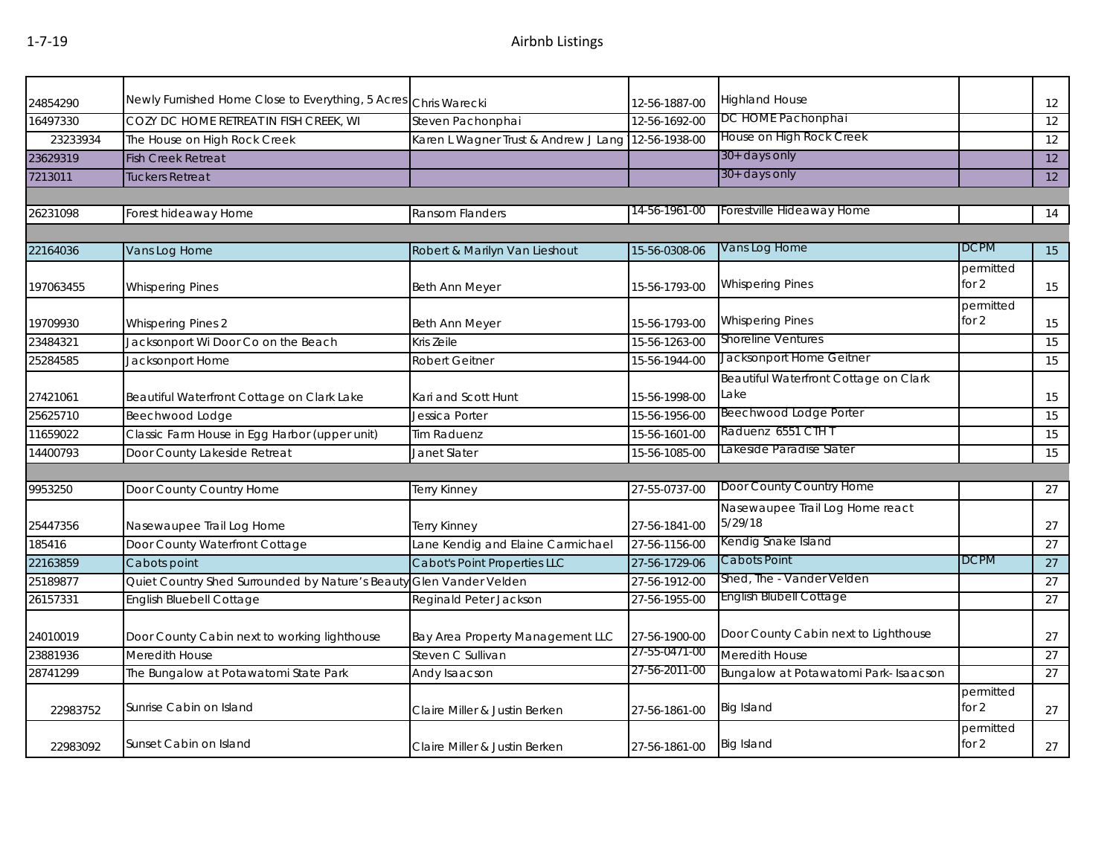| 24854290  | Newly Furnished Home Close to Everything, 5 Acres Chris Warecki |                                      | 12-56-1887-00 | <b>Highland House</b>                      |                      | 12              |
|-----------|-----------------------------------------------------------------|--------------------------------------|---------------|--------------------------------------------|----------------------|-----------------|
| 16497330  | COZY DC HOME RETREAT IN FISH CREEK, WI                          | Steven Pachonphai                    | 12-56-1692-00 | DC HOME Pachonphai                         |                      | 12              |
| 23233934  | The House on High Rock Creek                                    | Karen L Wagner Trust & Andrew J Lang | 12-56-1938-00 | House on High Rock Creek                   |                      | 12              |
| 23629319  | <b>Fish Creek Retreat</b>                                       |                                      |               | 30+ days only                              |                      | $\overline{12}$ |
| 7213011   | Tuckers Retreat                                                 |                                      |               | 30+ days only                              |                      | 12              |
|           |                                                                 |                                      |               |                                            |                      |                 |
| 26231098  | Forest hideaway Home                                            | Ransom Flanders                      | 14-56-1961-00 | Forestville Hideaway Home                  |                      | 14              |
|           |                                                                 |                                      |               |                                            |                      |                 |
| 22164036  | Vans Log Home                                                   | Robert & Marilyn Van Lieshout        | 15-56-0308-06 | Vans Log Home                              | DCPM                 | 15              |
|           |                                                                 |                                      |               |                                            | permitted            |                 |
| 197063455 | <b>Whispering Pines</b>                                         | Beth Ann Meyer                       | 15-56-1793-00 | <b>Whispering Pines</b>                    | for $2$              | 15              |
|           |                                                                 |                                      |               |                                            | permitted            |                 |
| 19709930  | <b>Whispering Pines 2</b>                                       | <b>Beth Ann Meyer</b>                | 15-56-1793-00 | <b>Whispering Pines</b>                    | for $2$              | 15              |
| 23484321  | Jacksonport Wi Door Co on the Beach                             | Kris Zeile                           | 15-56-1263-00 | <b>Shoreline Ventures</b>                  |                      | 15              |
| 25284585  | Jacksonport Home                                                | <b>Robert Geitner</b>                | 15-56-1944-00 | Jacksonport Home Geitner                   |                      | 15              |
|           |                                                                 |                                      |               | Beautiful Waterfront Cottage on Clark      |                      |                 |
| 27421061  | Beautiful Waterfront Cottage on Clark Lake                      | Kari and Scott Hunt                  | 15-56-1998-00 | Lake                                       |                      | 15              |
| 25625710  | Beechwood Lodge                                                 | Jessica Porter                       | 15-56-1956-00 | <b>Beechwood Lodge Porter</b>              |                      | 15              |
| 11659022  | Classic Farm House in Egg Harbor (upper unit)                   | Tim Raduenz                          | 15-56-1601-00 | Raduenz 6551 CTH T                         |                      | 15              |
| 14400793  | Door County Lakeside Retreat                                    | Janet Slater                         | 15-56-1085-00 | Lakeside Paradise Slater                   |                      | 15              |
|           |                                                                 |                                      |               |                                            |                      |                 |
| 9953250   | Door County Country Home                                        | Terry Kinney                         | 27-55-0737-00 | Door County Country Home                   |                      | 27              |
| 25447356  | Nasewaupee Trail Log Home                                       | Terry Kinney                         | 27-56-1841-00 | Nasewaupee Trail Log Home react<br>5/29/18 |                      | 27              |
| 185416    | Door County Waterfront Cottage                                  | Lane Kendig and Elaine Carmichael    | 27-56-1156-00 | Kendig Snake Island                        |                      | 27              |
| 22163859  | Cabots point                                                    | <b>Cabot's Point Properties LLC</b>  | 27-56-1729-06 | Cabots Point                               | <b>DCPM</b>          | 27              |
| 25189877  | Quiet Country Shed Surrounded by Nature's Beauty                | Glen Vander Velden                   | 27-56-1912-00 | Shed, The - Vander Velden                  |                      | 27              |
| 26157331  | <b>English Bluebell Cottage</b>                                 | Reginald Peter Jackson               | 27-56-1955-00 | <b>English Blubell Cottage</b>             |                      | 27              |
|           |                                                                 |                                      |               |                                            |                      |                 |
| 24010019  | Door County Cabin next to working lighthouse                    | Bay Area Property Management LLC     | 27-56-1900-00 | Door County Cabin next to Lighthouse       |                      | 27              |
| 23881936  | Meredith House                                                  | Steven C Sullivan                    | 27-55-0471-00 | <b>Meredith House</b>                      |                      | 27              |
| 28741299  | The Bungalow at Potawatomi State Park                           | Andy Isaacson                        | 27-56-2011-00 | Bungalow at Potawatomi Park- Isaacson      |                      | 27              |
| 22983752  | Sunrise Cabin on Island                                         | Claire Miller & Justin Berken        | 27-56-1861-00 | <b>Big Island</b>                          | permitted<br>for $2$ | 27              |
| 22983092  | Sunset Cabin on Island                                          | Claire Miller & Justin Berken        | 27-56-1861-00 | <b>Big Island</b>                          | permitted<br>for $2$ | 27              |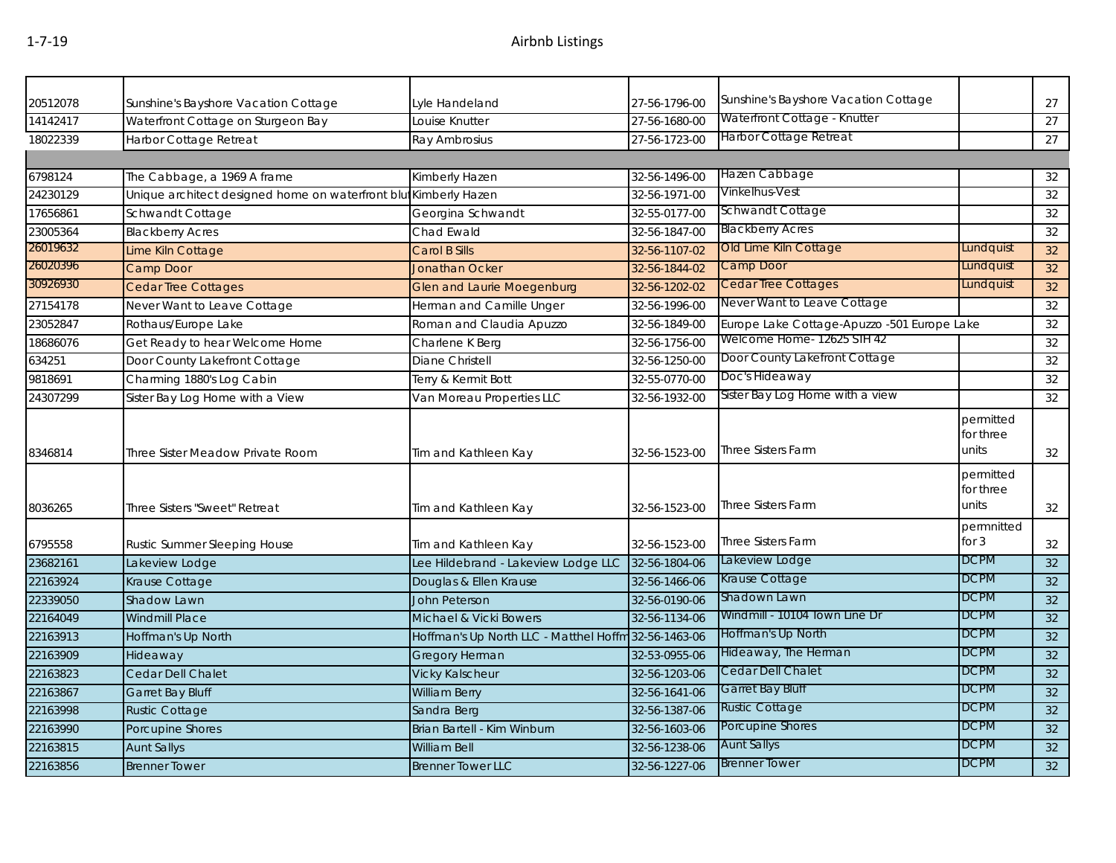| 20512078 | Sunshine's Bayshore Vacation Cottage                             | Lyle Handeland                                       | 27-56-1796-00 | Sunshine's Bayshore Vacation Cottage        |                                 | 27 |
|----------|------------------------------------------------------------------|------------------------------------------------------|---------------|---------------------------------------------|---------------------------------|----|
| 14142417 | Waterfront Cottage on Sturgeon Bay                               | Louise Knutter                                       | 27-56-1680-00 | Waterfront Cottage - Knutter                |                                 | 27 |
| 18022339 | Harbor Cottage Retreat                                           | Ray Ambrosius                                        | 27-56-1723-00 | Harbor Cottage Retreat                      |                                 | 27 |
|          |                                                                  |                                                      |               |                                             |                                 |    |
| 6798124  | The Cabbage, a 1969 A frame                                      | Kimberly Hazen                                       | 32-56-1496-00 | Hazen Cabbage                               |                                 | 32 |
| 24230129 | Unique architect designed home on waterfront blut Kimberly Hazen |                                                      | 32-56-1971-00 | Vinkelhus-Vest                              |                                 | 32 |
| 17656861 | Schwandt Cottage                                                 | Georgina Schwandt                                    | 32-55-0177-00 | Schwandt Cottage                            |                                 | 32 |
| 23005364 | <b>Blackberry Acres</b>                                          | Chad Ewald                                           | 32-56-1847-00 | <b>Blackberry Acres</b>                     |                                 | 32 |
| 26019632 | Lime Kiln Cottage                                                | Carol B Sills                                        | 32-56-1107-02 | Old Lime Kiln Cottage                       | Lundquist                       | 32 |
| 26020396 | Camp Door                                                        | <b>Jonathan Ocker</b>                                | 32-56-1844-02 | Camp Door                                   | Lundquist                       | 32 |
| 30926930 | <b>Cedar Tree Cottages</b>                                       | <b>Glen and Laurie Moegenburg</b>                    | 32-56-1202-02 | <b>Cedar Tree Cottages</b>                  | Lundquist                       | 32 |
| 27154178 | Never Want to Leave Cottage                                      | Herman and Camille Unger                             | 32-56-1996-00 | Never Want to Leave Cottage                 |                                 | 32 |
| 23052847 | Rothaus/Europe Lake                                              | Roman and Claudia Apuzzo                             | 32-56-1849-00 | Europe Lake Cottage-Apuzzo -501 Europe Lake |                                 | 32 |
| 18686076 | Get Ready to hear Welcome Home                                   | Charlene K Berg                                      | 32-56-1756-00 | Welcome Home- 12625 STH 42                  |                                 | 32 |
| 634251   | Door County Lakefront Cottage                                    | Diane Christell                                      | 32-56-1250-00 | Door County Lakefront Cottage               |                                 | 32 |
| 9818691  | Charming 1880's Log Cabin                                        | Terry & Kermit Bott                                  | 32-55-0770-00 | Doc's Hideaway                              |                                 | 32 |
| 24307299 | Sister Bay Log Home with a View                                  | Van Moreau Properties LLC                            | 32-56-1932-00 | Sister Bay Log Home with a view             |                                 | 32 |
| 8346814  | Three Sister Meadow Private Room                                 | Tim and Kathleen Kay                                 | 32-56-1523-00 | <b>Three Sisters Farm</b>                   | permitted<br>for three<br>units | 32 |
| 8036265  | Three Sisters "Sweet" Retreat                                    | Tim and Kathleen Kay                                 | 32-56-1523-00 | <b>Three Sisters Farm</b>                   | permitted<br>for three<br>units | 32 |
| 6795558  | Rustic Summer Sleeping House                                     | Tim and Kathleen Kay                                 | 32-56-1523-00 | <b>Three Sisters Farm</b>                   | permnitted<br>for $3$           | 32 |
| 23682161 | Lakeview Lodge                                                   | Lee Hildebrand - Lakeview Lodge LLC                  | 32-56-1804-06 | Lakeview Lodge                              | <b>DCPM</b>                     | 32 |
| 22163924 | Krause Cottage                                                   | Douglas & Ellen Krause                               | 32-56-1466-06 | Krause Cottage                              | <b>DCPM</b>                     | 32 |
| 22339050 | Shadow Lawn                                                      | <b>John Peterson</b>                                 | 32-56-0190-06 | Shadown Lawn                                | <b>DCPM</b>                     | 32 |
| 22164049 | <b>Windmill Place</b>                                            | Michael & Vicki Bowers                               | 32-56-1134-06 | Windmill - 10104 Town Line Dr               | <b>DCPM</b>                     | 32 |
| 22163913 | Hoffman's Up North                                               | Hoffman's Up North LLC - Matthel Hoffm 32-56-1463-06 |               | Hoffman's Up North                          | <b>DCPM</b>                     | 32 |
| 22163909 | Hideaway                                                         | <b>Gregory Herman</b>                                | 32-53-0955-06 | Hideaway, The Herman                        | <b>DCPM</b>                     | 32 |
| 22163823 | Cedar Dell Chalet                                                | <b>Vicky Kalscheur</b>                               | 32-56-1203-06 | Cedar Dell Chalet                           | <b>DCPM</b>                     | 32 |
| 22163867 | <b>Garret Bay Bluff</b>                                          | <b>William Berry</b>                                 | 32-56-1641-06 | Garret Bay Bluff                            | <b>DCPM</b>                     | 32 |
| 22163998 | <b>Rustic Cottage</b>                                            | Sandra Berg                                          | 32-56-1387-06 | <b>Rustic Cottage</b>                       | <b>DCPM</b>                     | 32 |
| 22163990 | Porcupine Shores                                                 | Brian Bartell - Kim Winburn                          | 32-56-1603-06 | Porcupine Shores                            | <b>DCPM</b>                     | 32 |
| 22163815 | <b>Aunt Sallys</b>                                               | <b>William Bell</b>                                  | 32-56-1238-06 | <b>Aunt Sallys</b>                          | <b>DCPM</b>                     | 32 |
| 22163856 | <b>Brenner Tower</b>                                             | <b>Brenner Tower LLC</b>                             | 32-56-1227-06 | <b>Brenner Tower</b>                        | <b>DCPM</b>                     | 32 |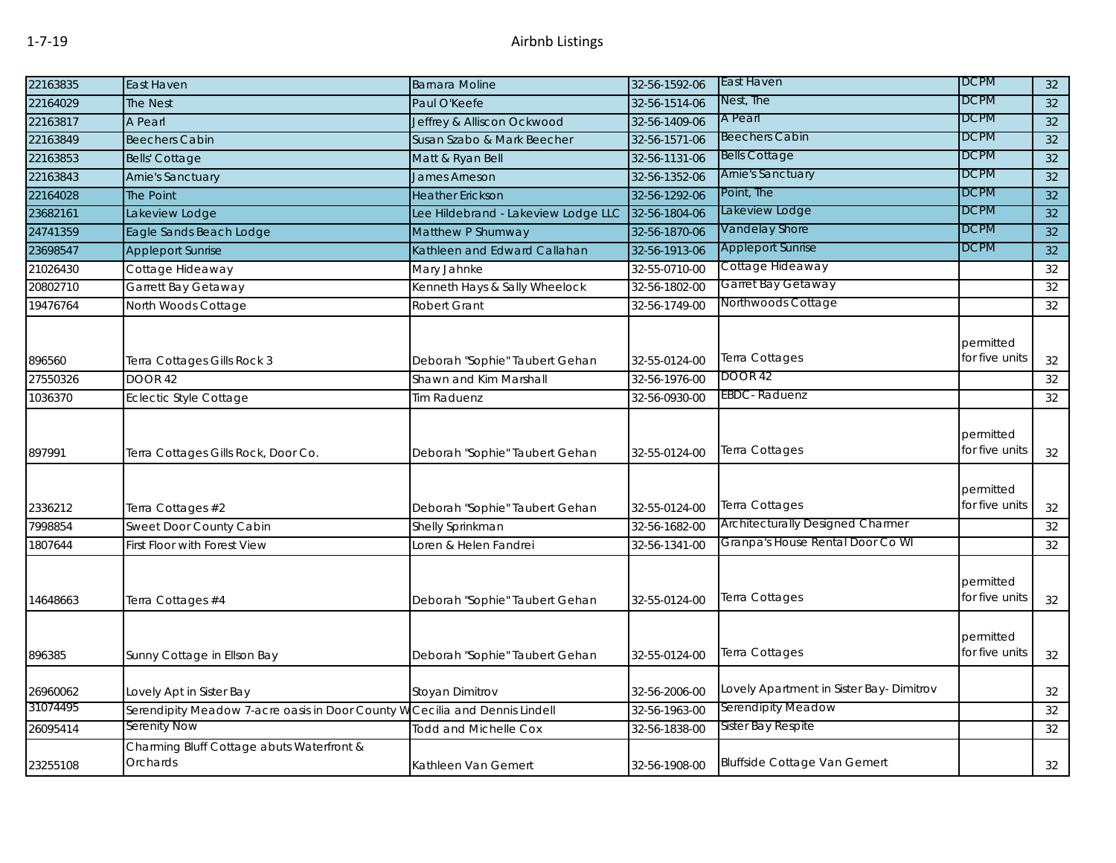| 22163835 | East Haven                                                                  | <b>Barnara Moline</b>               | 32-56-1592-06 | East Haven                              | <b>DCPM</b>                 | 32 |
|----------|-----------------------------------------------------------------------------|-------------------------------------|---------------|-----------------------------------------|-----------------------------|----|
| 22164029 | <b>The Nest</b>                                                             | Paul O'Keefe                        | 32-56-1514-06 | Nest, The                               | <b>DCPM</b>                 | 32 |
| 22163817 | A Pearl                                                                     | Jeffrey & Alliscon Ockwood          | 32-56-1409-06 | A Pearl                                 | <b>DCPM</b>                 | 32 |
| 22163849 | <b>Beechers Cabin</b>                                                       | Susan Szabo & Mark Beecher          | 32-56-1571-06 | <b>Beechers Cabin</b>                   | <b>DCPM</b>                 | 32 |
| 22163853 | <b>Bells' Cottage</b>                                                       | Matt & Ryan Bell                    | 32-56-1131-06 | <b>Bells Cottage</b>                    | <b>DCPM</b>                 | 32 |
| 22163843 | Arnie's Sanctuary                                                           | James Arneson                       | 32-56-1352-06 | <b>Arnie's Sanctuary</b>                | <b>DCPM</b>                 | 32 |
| 22164028 | The Point                                                                   | <b>Heather Erickson</b>             | 32-56-1292-06 | Point, The                              | <b>DCPM</b>                 | 32 |
| 23682161 | Lakeview Lodge                                                              | Lee Hildebrand - Lakeview Lodge LLC | 32-56-1804-06 | Lakeview Lodge                          | <b>DCPM</b>                 | 32 |
| 24741359 | Eagle Sands Beach Lodge                                                     | Matthew P Shumway                   | 32-56-1870-06 | Vandelay Shore                          | <b>DCPM</b>                 | 32 |
| 23698547 | <b>Appleport Sunrise</b>                                                    | Kathleen and Edward Callahan        | 32-56-1913-06 | <b>Appleport Sunrise</b>                | <b>DCPM</b>                 | 32 |
| 21026430 | Cottage Hideaway                                                            | Mary Jahnke                         | 32-55-0710-00 | Cottage Hideaway                        |                             | 32 |
| 20802710 | Garrett Bay Getaway                                                         | Kenneth Hays & Sally Wheelock       | 32-56-1802-00 | Garret Bay Getaway                      |                             | 32 |
| 19476764 | North Woods Cottage                                                         | <b>Robert Grant</b>                 | 32-56-1749-00 | Northwoods Cottage                      |                             | 32 |
| 896560   | Terra Cottages Gills Rock 3                                                 | Deborah "Sophie" Taubert Gehan      | 32-55-0124-00 | Terra Cottages                          | permitted<br>for five units | 32 |
| 27550326 | <b>DOOR 42</b>                                                              | Shawn and Kim Marshall              | 32-56-1976-00 | DOOR 42                                 |                             | 32 |
| 1036370  | <b>Eclectic Style Cottage</b>                                               | <b>Tim Raduenz</b>                  | 32-56-0930-00 | EBDC-Raduenz                            |                             | 32 |
| 897991   | Terra Cottages Gills Rock, Door Co.                                         | Deborah "Sophie" Taubert Gehan      | 32-55-0124-00 | Terra Cottages                          | permitted<br>for five units | 32 |
| 2336212  | Terra Cottages #2                                                           | Deborah "Sophie" Taubert Gehan      | 32-55-0124-00 | Terra Cottages                          | permitted<br>for five units | 32 |
| 7998854  | Sweet Door County Cabin                                                     | Shelly Sprinkman                    | 32-56-1682-00 | Architecturally Designed Charmer        |                             | 32 |
| 1807644  | First Floor with Forest View                                                | Loren & Helen Fandrei               | 32-56-1341-00 | Granpa's House Rental Door Co WI        |                             | 32 |
| 14648663 | Terra Cottages #4                                                           | Deborah "Sophie" Taubert Gehan      | 32-55-0124-00 | Terra Cottages                          | permitted<br>for five units | 32 |
| 896385   | Sunny Cottage in Ellson Bay                                                 | Deborah "Sophie" Taubert Gehan      | 32-55-0124-00 | Terra Cottages                          | permitted<br>for five units | 32 |
| 26960062 | Lovely Apt in Sister Bay                                                    | Stoyan Dimitrov                     | 32-56-2006-00 | Lovely Apartment in Sister Bay-Dimitrov |                             | 32 |
| 31074495 | Serendipity Meadow 7-acre oasis in Door County W Cecilia and Dennis Lindell |                                     | 32-56-1963-00 | Serendipity Meadow                      |                             | 32 |
| 26095414 | Serenity Now                                                                | <b>Todd and Michelle Cox</b>        | 32-56-1838-00 | Sister Bay Respite                      |                             | 32 |
| 23255108 | Charming Bluff Cottage abuts Waterfront &<br>Orchards                       | Kathleen Van Gemert                 | 32-56-1908-00 | <b>Bluffside Cottage Van Gemert</b>     |                             | 32 |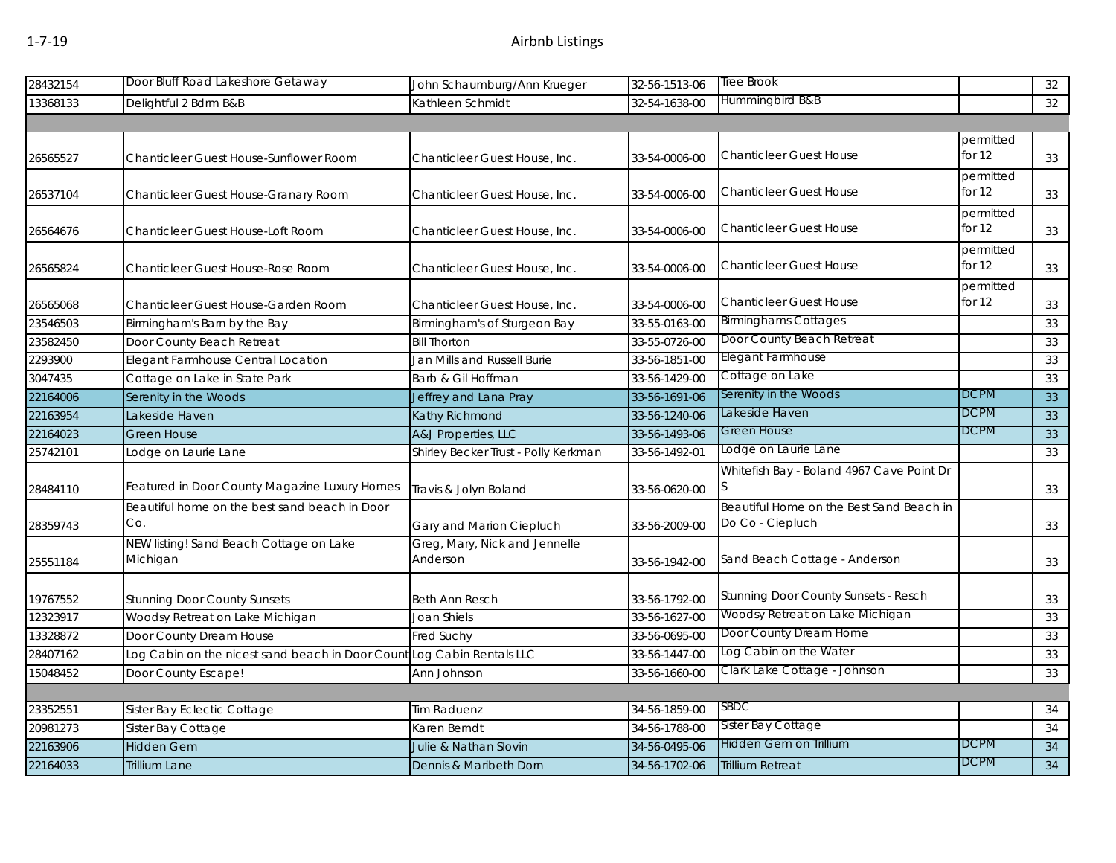| Hummingbird B&B<br>13368133<br>Kathleen Schmidt<br>32-54-1638-00<br>Delightful 2 Bdrm B&B<br>permitted<br>for $12$<br><b>Chanticleer Guest House</b><br>26565527<br>Chanticleer Guest House-Sunflower Room<br>Chanticleer Guest House, Inc.<br>33-54-0006-00<br>permitted<br>for $12$<br><b>Chanticleer Guest House</b><br>Chanticleer Guest House-Granary Room<br>Chanticleer Guest House, Inc.<br>33-54-0006-00<br>permitted<br><b>Chanticleer Guest House</b><br>for 12<br><b>Chanticleer Guest House-Loft Room</b><br>Chanticleer Guest House, Inc.<br>33-54-0006-00<br>26564676<br>permitted<br>for $12$<br><b>Chanticleer Guest House</b><br>Chanticleer Guest House-Rose Room<br>Chanticleer Guest House, Inc.<br>26565824<br>33-54-0006-00<br>permitted<br>for 12<br><b>Chanticleer Guest House</b><br>26565068<br>Chanticleer Guest House-Garden Room<br>Chanticleer Guest House, Inc.<br>33-54-0006-00<br><b>Birminghams Cottages</b><br>Birmingham's Barn by the Bay<br>23546503<br>Birmingham's of Sturgeon Bay<br>33-55-0163-00<br>Door County Beach Retreat<br>Door County Beach Retreat<br><b>Bill Thorton</b><br>33-55-0726-00<br>Elegant Farmhouse<br>Elegant Farmhouse Central Location<br>2293900<br>Jan Mills and Russell Burie<br>33-56-1851-00<br>Cottage on Lake<br>Cottage on Lake in State Park<br>3047435<br>Barb & Gil Hoffman<br>33-56-1429-00<br>Serenity in the Woods<br><b>DCPM</b><br>Serenity in the Woods<br>Jeffrey and Lana Pray<br>22164006<br>33-56-1691-06<br>Lakeside Haven<br><b>DCPM</b><br>Kathy Richmond<br>Lakeside Haven<br>33-56-1240-06<br><b>Green House</b><br><b>DCPM</b><br>A&J Properties, LLC<br>22164023<br><b>Green House</b><br>33-56-1493-06<br>Lodge on Laurie Lane<br>25742101<br>Shirley Becker Trust - Polly Kerkman<br>33-56-1492-01<br>odge on Laurie Lane<br>Whitefish Bay - Boland 4967 Cave Point Dr<br>Featured in Door County Magazine Luxury Homes<br>Travis & Jolyn Boland<br>33-56-0620-00<br>28484110<br>Beautiful Home on the Best Sand Beach in<br>Beautiful home on the best sand beach in Door<br>Co.<br>Do Co - Ciepluch<br>28359743<br>Gary and Marion Ciepluch<br>33-56-2009-00<br>NEW listing! Sand Beach Cottage on Lake<br>Greg, Mary, Nick and Jennelle<br>Michigan<br>Anderson<br>Sand Beach Cottage - Anderson<br>25551184<br>33-56-1942-00<br>Stunning Door County Sunsets - Resch<br><b>Stunning Door County Sunsets</b><br><b>Beth Ann Resch</b><br>33-56-1792-00<br>19767552<br>Woodsy Retreat on Lake Michigan<br>Woodsy Retreat on Lake Michigan<br>12323917<br><b>Joan Shiels</b><br>33-56-1627-00<br>Door County Dream Home<br>Door County Dream House<br>13328872<br><b>Fred Suchy</b><br>33-56-0695-00<br>Log Cabin on the Water<br>28407162<br>Log Cabin on the nicest sand beach in Door Count Log Cabin Rentals LLC<br>33-56-1447-00<br>Clark Lake Cottage - Johnson<br>15048452<br>Door County Escape!<br>Ann Johnson<br>33-56-1660-00<br>SBDC<br>34-56-1859-00<br>Sister Bay Eclectic Cottage<br><b>Tim Raduenz</b><br>Sister Bay Cottage<br>34-56-1788-00<br>Sister Bay Cottage<br>Karen Berndt<br>Hidden Gem on Trillium<br><b>DCPM</b><br><b>Hidden Gem</b><br>Julie & Nathan Slovin<br>34-56-0495-06<br><b>DCPM</b><br>Dennis & Maribeth Dorn<br>34-56-1702-06<br><b>Trillium Retreat</b><br><b>Trillium Lane</b> | 28432154 | Door Bluff Road Lakeshore Getaway | John Schaumburg/Ann Krueger | 32-56-1513-06 | Tree Brook | 32 |
|----------------------------------------------------------------------------------------------------------------------------------------------------------------------------------------------------------------------------------------------------------------------------------------------------------------------------------------------------------------------------------------------------------------------------------------------------------------------------------------------------------------------------------------------------------------------------------------------------------------------------------------------------------------------------------------------------------------------------------------------------------------------------------------------------------------------------------------------------------------------------------------------------------------------------------------------------------------------------------------------------------------------------------------------------------------------------------------------------------------------------------------------------------------------------------------------------------------------------------------------------------------------------------------------------------------------------------------------------------------------------------------------------------------------------------------------------------------------------------------------------------------------------------------------------------------------------------------------------------------------------------------------------------------------------------------------------------------------------------------------------------------------------------------------------------------------------------------------------------------------------------------------------------------------------------------------------------------------------------------------------------------------------------------------------------------------------------------------------------------------------------------------------------------------------------------------------------------------------------------------------------------------------------------------------------------------------------------------------------------------------------------------------------------------------------------------------------------------------------------------------------------------------------------------------------------------------------------------------------------------------------------------------------------------------------------------------------------------------------------------------------------------------------------------------------------------------------------------------------------------------------------------------------------------------------------------------------------------------------------------------------------------------------------------------------------------------------------------------------------------------------------------------------------------------------------------------------------------------------------------------------------------------------------------------------------------------|----------|-----------------------------------|-----------------------------|---------------|------------|----|
|                                                                                                                                                                                                                                                                                                                                                                                                                                                                                                                                                                                                                                                                                                                                                                                                                                                                                                                                                                                                                                                                                                                                                                                                                                                                                                                                                                                                                                                                                                                                                                                                                                                                                                                                                                                                                                                                                                                                                                                                                                                                                                                                                                                                                                                                                                                                                                                                                                                                                                                                                                                                                                                                                                                                                                                                                                                                                                                                                                                                                                                                                                                                                                                                                                                                                                                            |          |                                   |                             |               |            | 32 |
|                                                                                                                                                                                                                                                                                                                                                                                                                                                                                                                                                                                                                                                                                                                                                                                                                                                                                                                                                                                                                                                                                                                                                                                                                                                                                                                                                                                                                                                                                                                                                                                                                                                                                                                                                                                                                                                                                                                                                                                                                                                                                                                                                                                                                                                                                                                                                                                                                                                                                                                                                                                                                                                                                                                                                                                                                                                                                                                                                                                                                                                                                                                                                                                                                                                                                                                            |          |                                   |                             |               |            |    |
|                                                                                                                                                                                                                                                                                                                                                                                                                                                                                                                                                                                                                                                                                                                                                                                                                                                                                                                                                                                                                                                                                                                                                                                                                                                                                                                                                                                                                                                                                                                                                                                                                                                                                                                                                                                                                                                                                                                                                                                                                                                                                                                                                                                                                                                                                                                                                                                                                                                                                                                                                                                                                                                                                                                                                                                                                                                                                                                                                                                                                                                                                                                                                                                                                                                                                                                            |          |                                   |                             |               |            | 33 |
|                                                                                                                                                                                                                                                                                                                                                                                                                                                                                                                                                                                                                                                                                                                                                                                                                                                                                                                                                                                                                                                                                                                                                                                                                                                                                                                                                                                                                                                                                                                                                                                                                                                                                                                                                                                                                                                                                                                                                                                                                                                                                                                                                                                                                                                                                                                                                                                                                                                                                                                                                                                                                                                                                                                                                                                                                                                                                                                                                                                                                                                                                                                                                                                                                                                                                                                            | 26537104 |                                   |                             |               |            | 33 |
|                                                                                                                                                                                                                                                                                                                                                                                                                                                                                                                                                                                                                                                                                                                                                                                                                                                                                                                                                                                                                                                                                                                                                                                                                                                                                                                                                                                                                                                                                                                                                                                                                                                                                                                                                                                                                                                                                                                                                                                                                                                                                                                                                                                                                                                                                                                                                                                                                                                                                                                                                                                                                                                                                                                                                                                                                                                                                                                                                                                                                                                                                                                                                                                                                                                                                                                            |          |                                   |                             |               |            | 33 |
|                                                                                                                                                                                                                                                                                                                                                                                                                                                                                                                                                                                                                                                                                                                                                                                                                                                                                                                                                                                                                                                                                                                                                                                                                                                                                                                                                                                                                                                                                                                                                                                                                                                                                                                                                                                                                                                                                                                                                                                                                                                                                                                                                                                                                                                                                                                                                                                                                                                                                                                                                                                                                                                                                                                                                                                                                                                                                                                                                                                                                                                                                                                                                                                                                                                                                                                            |          |                                   |                             |               |            | 33 |
|                                                                                                                                                                                                                                                                                                                                                                                                                                                                                                                                                                                                                                                                                                                                                                                                                                                                                                                                                                                                                                                                                                                                                                                                                                                                                                                                                                                                                                                                                                                                                                                                                                                                                                                                                                                                                                                                                                                                                                                                                                                                                                                                                                                                                                                                                                                                                                                                                                                                                                                                                                                                                                                                                                                                                                                                                                                                                                                                                                                                                                                                                                                                                                                                                                                                                                                            |          |                                   |                             |               |            | 33 |
|                                                                                                                                                                                                                                                                                                                                                                                                                                                                                                                                                                                                                                                                                                                                                                                                                                                                                                                                                                                                                                                                                                                                                                                                                                                                                                                                                                                                                                                                                                                                                                                                                                                                                                                                                                                                                                                                                                                                                                                                                                                                                                                                                                                                                                                                                                                                                                                                                                                                                                                                                                                                                                                                                                                                                                                                                                                                                                                                                                                                                                                                                                                                                                                                                                                                                                                            |          |                                   |                             |               |            | 33 |
|                                                                                                                                                                                                                                                                                                                                                                                                                                                                                                                                                                                                                                                                                                                                                                                                                                                                                                                                                                                                                                                                                                                                                                                                                                                                                                                                                                                                                                                                                                                                                                                                                                                                                                                                                                                                                                                                                                                                                                                                                                                                                                                                                                                                                                                                                                                                                                                                                                                                                                                                                                                                                                                                                                                                                                                                                                                                                                                                                                                                                                                                                                                                                                                                                                                                                                                            | 23582450 |                                   |                             |               |            | 33 |
|                                                                                                                                                                                                                                                                                                                                                                                                                                                                                                                                                                                                                                                                                                                                                                                                                                                                                                                                                                                                                                                                                                                                                                                                                                                                                                                                                                                                                                                                                                                                                                                                                                                                                                                                                                                                                                                                                                                                                                                                                                                                                                                                                                                                                                                                                                                                                                                                                                                                                                                                                                                                                                                                                                                                                                                                                                                                                                                                                                                                                                                                                                                                                                                                                                                                                                                            |          |                                   |                             |               |            | 33 |
|                                                                                                                                                                                                                                                                                                                                                                                                                                                                                                                                                                                                                                                                                                                                                                                                                                                                                                                                                                                                                                                                                                                                                                                                                                                                                                                                                                                                                                                                                                                                                                                                                                                                                                                                                                                                                                                                                                                                                                                                                                                                                                                                                                                                                                                                                                                                                                                                                                                                                                                                                                                                                                                                                                                                                                                                                                                                                                                                                                                                                                                                                                                                                                                                                                                                                                                            |          |                                   |                             |               |            | 33 |
|                                                                                                                                                                                                                                                                                                                                                                                                                                                                                                                                                                                                                                                                                                                                                                                                                                                                                                                                                                                                                                                                                                                                                                                                                                                                                                                                                                                                                                                                                                                                                                                                                                                                                                                                                                                                                                                                                                                                                                                                                                                                                                                                                                                                                                                                                                                                                                                                                                                                                                                                                                                                                                                                                                                                                                                                                                                                                                                                                                                                                                                                                                                                                                                                                                                                                                                            |          |                                   |                             |               |            | 33 |
|                                                                                                                                                                                                                                                                                                                                                                                                                                                                                                                                                                                                                                                                                                                                                                                                                                                                                                                                                                                                                                                                                                                                                                                                                                                                                                                                                                                                                                                                                                                                                                                                                                                                                                                                                                                                                                                                                                                                                                                                                                                                                                                                                                                                                                                                                                                                                                                                                                                                                                                                                                                                                                                                                                                                                                                                                                                                                                                                                                                                                                                                                                                                                                                                                                                                                                                            | 22163954 |                                   |                             |               |            | 33 |
|                                                                                                                                                                                                                                                                                                                                                                                                                                                                                                                                                                                                                                                                                                                                                                                                                                                                                                                                                                                                                                                                                                                                                                                                                                                                                                                                                                                                                                                                                                                                                                                                                                                                                                                                                                                                                                                                                                                                                                                                                                                                                                                                                                                                                                                                                                                                                                                                                                                                                                                                                                                                                                                                                                                                                                                                                                                                                                                                                                                                                                                                                                                                                                                                                                                                                                                            |          |                                   |                             |               |            | 33 |
|                                                                                                                                                                                                                                                                                                                                                                                                                                                                                                                                                                                                                                                                                                                                                                                                                                                                                                                                                                                                                                                                                                                                                                                                                                                                                                                                                                                                                                                                                                                                                                                                                                                                                                                                                                                                                                                                                                                                                                                                                                                                                                                                                                                                                                                                                                                                                                                                                                                                                                                                                                                                                                                                                                                                                                                                                                                                                                                                                                                                                                                                                                                                                                                                                                                                                                                            |          |                                   |                             |               |            | 33 |
|                                                                                                                                                                                                                                                                                                                                                                                                                                                                                                                                                                                                                                                                                                                                                                                                                                                                                                                                                                                                                                                                                                                                                                                                                                                                                                                                                                                                                                                                                                                                                                                                                                                                                                                                                                                                                                                                                                                                                                                                                                                                                                                                                                                                                                                                                                                                                                                                                                                                                                                                                                                                                                                                                                                                                                                                                                                                                                                                                                                                                                                                                                                                                                                                                                                                                                                            |          |                                   |                             |               |            | 33 |
|                                                                                                                                                                                                                                                                                                                                                                                                                                                                                                                                                                                                                                                                                                                                                                                                                                                                                                                                                                                                                                                                                                                                                                                                                                                                                                                                                                                                                                                                                                                                                                                                                                                                                                                                                                                                                                                                                                                                                                                                                                                                                                                                                                                                                                                                                                                                                                                                                                                                                                                                                                                                                                                                                                                                                                                                                                                                                                                                                                                                                                                                                                                                                                                                                                                                                                                            |          |                                   |                             |               |            | 33 |
|                                                                                                                                                                                                                                                                                                                                                                                                                                                                                                                                                                                                                                                                                                                                                                                                                                                                                                                                                                                                                                                                                                                                                                                                                                                                                                                                                                                                                                                                                                                                                                                                                                                                                                                                                                                                                                                                                                                                                                                                                                                                                                                                                                                                                                                                                                                                                                                                                                                                                                                                                                                                                                                                                                                                                                                                                                                                                                                                                                                                                                                                                                                                                                                                                                                                                                                            |          |                                   |                             |               |            | 33 |
|                                                                                                                                                                                                                                                                                                                                                                                                                                                                                                                                                                                                                                                                                                                                                                                                                                                                                                                                                                                                                                                                                                                                                                                                                                                                                                                                                                                                                                                                                                                                                                                                                                                                                                                                                                                                                                                                                                                                                                                                                                                                                                                                                                                                                                                                                                                                                                                                                                                                                                                                                                                                                                                                                                                                                                                                                                                                                                                                                                                                                                                                                                                                                                                                                                                                                                                            |          |                                   |                             |               |            | 33 |
|                                                                                                                                                                                                                                                                                                                                                                                                                                                                                                                                                                                                                                                                                                                                                                                                                                                                                                                                                                                                                                                                                                                                                                                                                                                                                                                                                                                                                                                                                                                                                                                                                                                                                                                                                                                                                                                                                                                                                                                                                                                                                                                                                                                                                                                                                                                                                                                                                                                                                                                                                                                                                                                                                                                                                                                                                                                                                                                                                                                                                                                                                                                                                                                                                                                                                                                            |          |                                   |                             |               |            | 33 |
|                                                                                                                                                                                                                                                                                                                                                                                                                                                                                                                                                                                                                                                                                                                                                                                                                                                                                                                                                                                                                                                                                                                                                                                                                                                                                                                                                                                                                                                                                                                                                                                                                                                                                                                                                                                                                                                                                                                                                                                                                                                                                                                                                                                                                                                                                                                                                                                                                                                                                                                                                                                                                                                                                                                                                                                                                                                                                                                                                                                                                                                                                                                                                                                                                                                                                                                            |          |                                   |                             |               |            | 33 |
|                                                                                                                                                                                                                                                                                                                                                                                                                                                                                                                                                                                                                                                                                                                                                                                                                                                                                                                                                                                                                                                                                                                                                                                                                                                                                                                                                                                                                                                                                                                                                                                                                                                                                                                                                                                                                                                                                                                                                                                                                                                                                                                                                                                                                                                                                                                                                                                                                                                                                                                                                                                                                                                                                                                                                                                                                                                                                                                                                                                                                                                                                                                                                                                                                                                                                                                            |          |                                   |                             |               |            | 33 |
|                                                                                                                                                                                                                                                                                                                                                                                                                                                                                                                                                                                                                                                                                                                                                                                                                                                                                                                                                                                                                                                                                                                                                                                                                                                                                                                                                                                                                                                                                                                                                                                                                                                                                                                                                                                                                                                                                                                                                                                                                                                                                                                                                                                                                                                                                                                                                                                                                                                                                                                                                                                                                                                                                                                                                                                                                                                                                                                                                                                                                                                                                                                                                                                                                                                                                                                            |          |                                   |                             |               |            | 33 |
|                                                                                                                                                                                                                                                                                                                                                                                                                                                                                                                                                                                                                                                                                                                                                                                                                                                                                                                                                                                                                                                                                                                                                                                                                                                                                                                                                                                                                                                                                                                                                                                                                                                                                                                                                                                                                                                                                                                                                                                                                                                                                                                                                                                                                                                                                                                                                                                                                                                                                                                                                                                                                                                                                                                                                                                                                                                                                                                                                                                                                                                                                                                                                                                                                                                                                                                            |          |                                   |                             |               |            |    |
|                                                                                                                                                                                                                                                                                                                                                                                                                                                                                                                                                                                                                                                                                                                                                                                                                                                                                                                                                                                                                                                                                                                                                                                                                                                                                                                                                                                                                                                                                                                                                                                                                                                                                                                                                                                                                                                                                                                                                                                                                                                                                                                                                                                                                                                                                                                                                                                                                                                                                                                                                                                                                                                                                                                                                                                                                                                                                                                                                                                                                                                                                                                                                                                                                                                                                                                            | 23352551 |                                   |                             |               |            | 34 |
|                                                                                                                                                                                                                                                                                                                                                                                                                                                                                                                                                                                                                                                                                                                                                                                                                                                                                                                                                                                                                                                                                                                                                                                                                                                                                                                                                                                                                                                                                                                                                                                                                                                                                                                                                                                                                                                                                                                                                                                                                                                                                                                                                                                                                                                                                                                                                                                                                                                                                                                                                                                                                                                                                                                                                                                                                                                                                                                                                                                                                                                                                                                                                                                                                                                                                                                            | 20981273 |                                   |                             |               |            | 34 |
|                                                                                                                                                                                                                                                                                                                                                                                                                                                                                                                                                                                                                                                                                                                                                                                                                                                                                                                                                                                                                                                                                                                                                                                                                                                                                                                                                                                                                                                                                                                                                                                                                                                                                                                                                                                                                                                                                                                                                                                                                                                                                                                                                                                                                                                                                                                                                                                                                                                                                                                                                                                                                                                                                                                                                                                                                                                                                                                                                                                                                                                                                                                                                                                                                                                                                                                            | 22163906 |                                   |                             |               |            | 34 |
|                                                                                                                                                                                                                                                                                                                                                                                                                                                                                                                                                                                                                                                                                                                                                                                                                                                                                                                                                                                                                                                                                                                                                                                                                                                                                                                                                                                                                                                                                                                                                                                                                                                                                                                                                                                                                                                                                                                                                                                                                                                                                                                                                                                                                                                                                                                                                                                                                                                                                                                                                                                                                                                                                                                                                                                                                                                                                                                                                                                                                                                                                                                                                                                                                                                                                                                            | 22164033 |                                   |                             |               |            | 34 |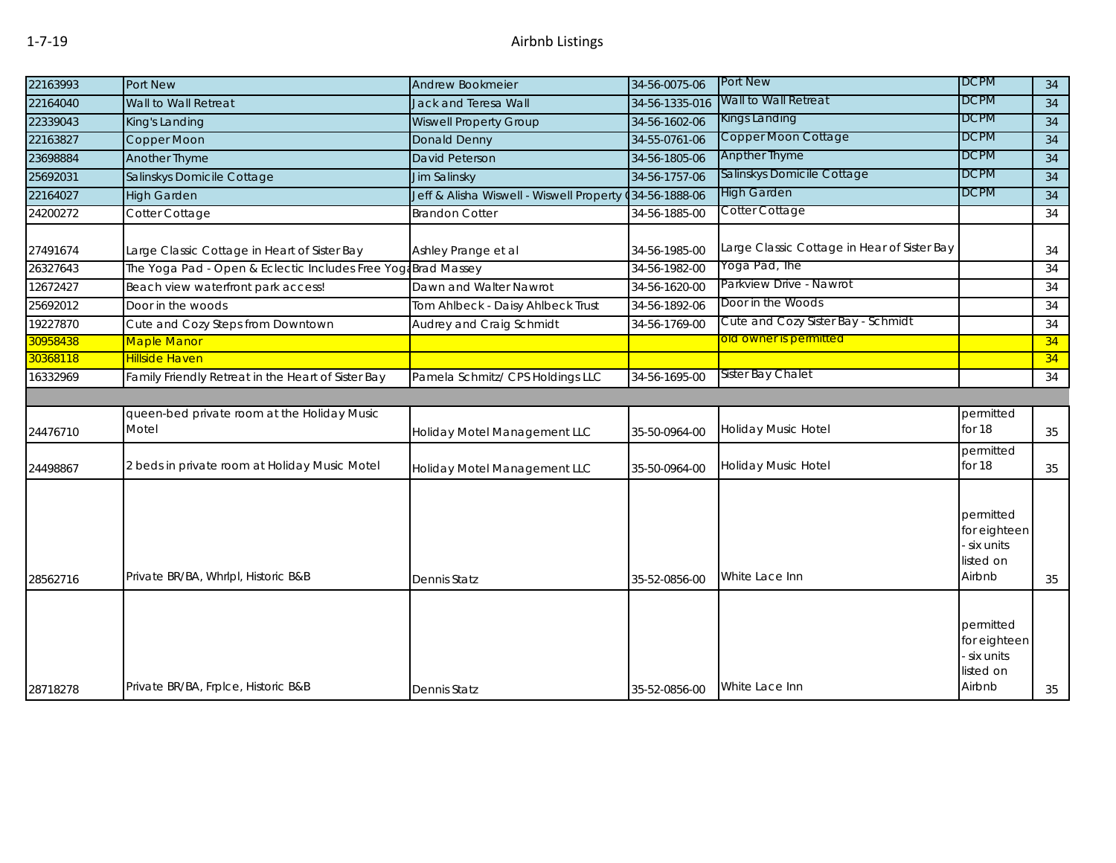| 22163993 | Port New                                                      | Andrew Bookmeier                                        | 34-56-0075-06  | <b>Port New</b>                             | <b>DCPM</b>                                                   | 34 |
|----------|---------------------------------------------------------------|---------------------------------------------------------|----------------|---------------------------------------------|---------------------------------------------------------------|----|
| 22164040 | Wall to Wall Retreat                                          | <b>Jack and Teresa Wall</b>                             | 34-56-1335-016 | Wall to Wall Retreat                        | <b>DCPM</b>                                                   | 34 |
| 22339043 | King's Landing                                                | <b>Wiswell Property Group</b>                           | 34-56-1602-06  | Kings Landing                               | <b>DCPM</b>                                                   | 34 |
| 22163827 | Copper Moon                                                   | Donald Denny                                            | 34-55-0761-06  | Copper Moon Cottage                         | <b>DCPM</b>                                                   | 34 |
| 23698884 | Another Thyme                                                 | David Peterson                                          | 34-56-1805-06  | <b>Anpther Thyme</b>                        | <b>DCPM</b>                                                   | 34 |
| 25692031 | Salinskys Domicile Cottage                                    | Jim Salinsky                                            | 34-56-1757-06  | Salinskys Domicile Cottage                  | <b>DCPM</b>                                                   | 34 |
| 22164027 | <b>High Garden</b>                                            | Jeff & Alisha Wiswell - Wiswell Property (34-56-1888-06 |                | <b>High Garden</b>                          | <b>DCPM</b>                                                   | 34 |
| 24200272 | Cotter Cottage                                                | <b>Brandon Cotter</b>                                   | 34-56-1885-00  | Cotter Cottage                              |                                                               | 34 |
| 27491674 | Large Classic Cottage in Heart of Sister Bay                  | Ashley Prange et al                                     | 34-56-1985-00  | Large Classic Cottage in Hear of Sister Bay |                                                               | 34 |
| 26327643 | The Yoga Pad - Open & Eclectic Includes Free Yoga Brad Massey |                                                         | 34-56-1982-00  | Yoga Pad, The                               |                                                               | 34 |
| 12672427 | Beach view waterfront park access!                            | Dawn and Walter Nawrot                                  | 34-56-1620-00  | Parkview Drive - Nawrot                     |                                                               | 34 |
| 25692012 | Door in the woods                                             | Tom Ahlbeck - Daisy Ahlbeck Trust                       | 34-56-1892-06  | Door in the Woods                           |                                                               | 34 |
| 19227870 | Cute and Cozy Steps from Downtown                             | Audrey and Craig Schmidt                                | 34-56-1769-00  | Cute and Cozy Sister Bay - Schmidt          |                                                               | 34 |
| 30958438 | <b>Maple Manor</b>                                            |                                                         |                | old owner is permitted                      |                                                               | 34 |
| 30368118 | Hillside Haven                                                |                                                         |                |                                             |                                                               | 34 |
| 16332969 | Family Friendly Retreat in the Heart of Sister Bay            | Pamela Schmitz/ CPS Holdings LLC                        | 34-56-1695-00  | Sister Bay Chalet                           |                                                               | 34 |
|          |                                                               |                                                         |                |                                             |                                                               |    |
| 24476710 | queen-bed private room at the Holiday Music<br>Motel          | Holiday Motel Management LLC                            | 35-50-0964-00  | <b>Holiday Music Hotel</b>                  | permitted<br>for 18                                           | 35 |
| 24498867 | 2 beds in private room at Holiday Music Motel                 | Holiday Motel Management LLC                            | 35-50-0964-00  | <b>Holiday Music Hotel</b>                  | permitted<br>for 18                                           | 35 |
| 28562716 | Private BR/BA, Whrlpl, Historic B&B                           | <b>Dennis Statz</b>                                     | 35-52-0856-00  | White Lace Inn                              | permitted<br>for eighteen<br>six units<br>listed on<br>Airbnb | 35 |
|          |                                                               |                                                         |                |                                             | permitted                                                     |    |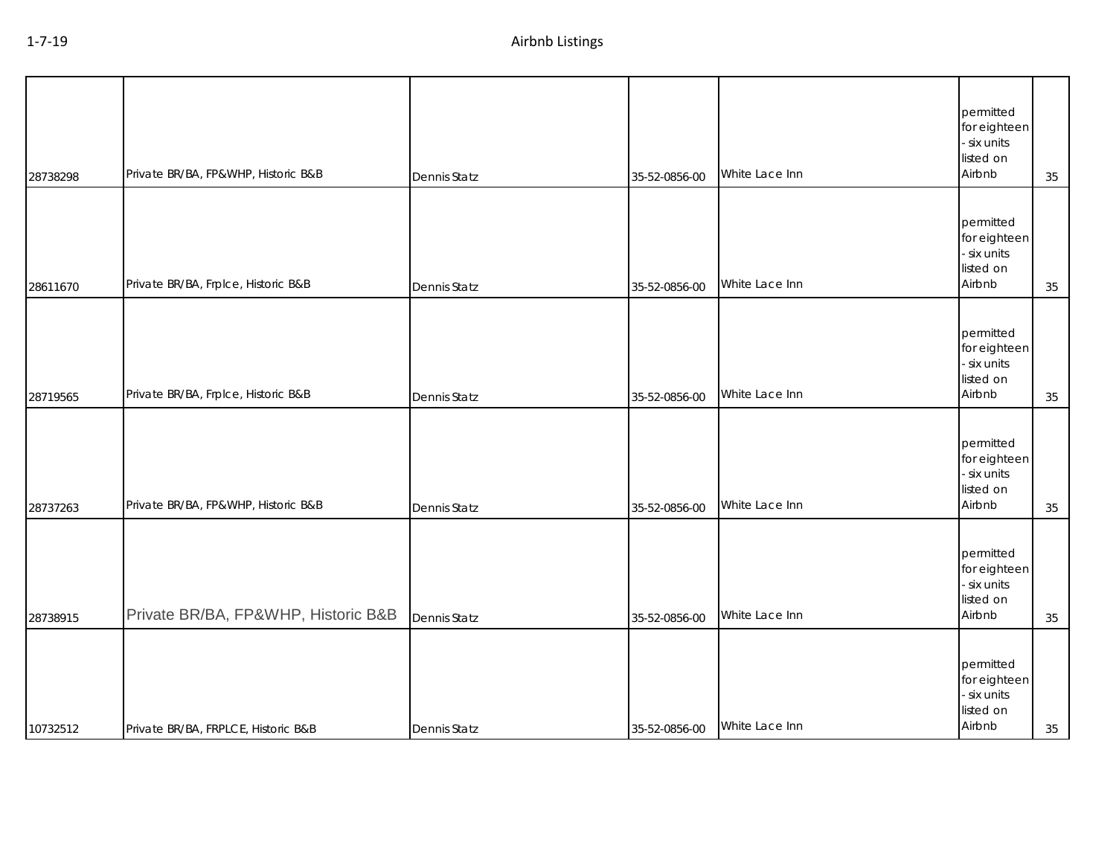| 28738298 | Private BR/BA, FP&WHP, Historic B&B | Dennis Statz        | 35-52-0856-00 | White Lace Inn | permitted<br>for eighteen<br>- six units<br>listed on<br>Airbnb | 35 |
|----------|-------------------------------------|---------------------|---------------|----------------|-----------------------------------------------------------------|----|
| 28611670 | Private BR/BA, Frplce, Historic B&B | Dennis Statz        | 35-52-0856-00 | White Lace Inn | permitted<br>for eighteen<br>- six units<br>listed on<br>Airbnb | 35 |
| 28719565 | Private BR/BA, Frplce, Historic B&B | <b>Dennis Statz</b> | 35-52-0856-00 | White Lace Inn | permitted<br>for eighteen<br>- six units<br>listed on<br>Airbnb | 35 |
| 28737263 | Private BR/BA, FP&WHP, Historic B&B | Dennis Statz        | 35-52-0856-00 | White Lace Inn | permitted<br>for eighteen<br>- six units<br>listed on<br>Airbnb | 35 |
| 28738915 | Private BR/BA, FP&WHP, Historic B&B | Dennis Statz        | 35-52-0856-00 | White Lace Inn | permitted<br>for eighteen<br>- six units<br>listed on<br>Airbnb | 35 |
| 10732512 | Private BR/BA, FRPLCE, Historic B&B | <b>Dennis Statz</b> | 35-52-0856-00 | White Lace Inn | permitted<br>for eighteen<br>- six units<br>listed on<br>Airbnb | 35 |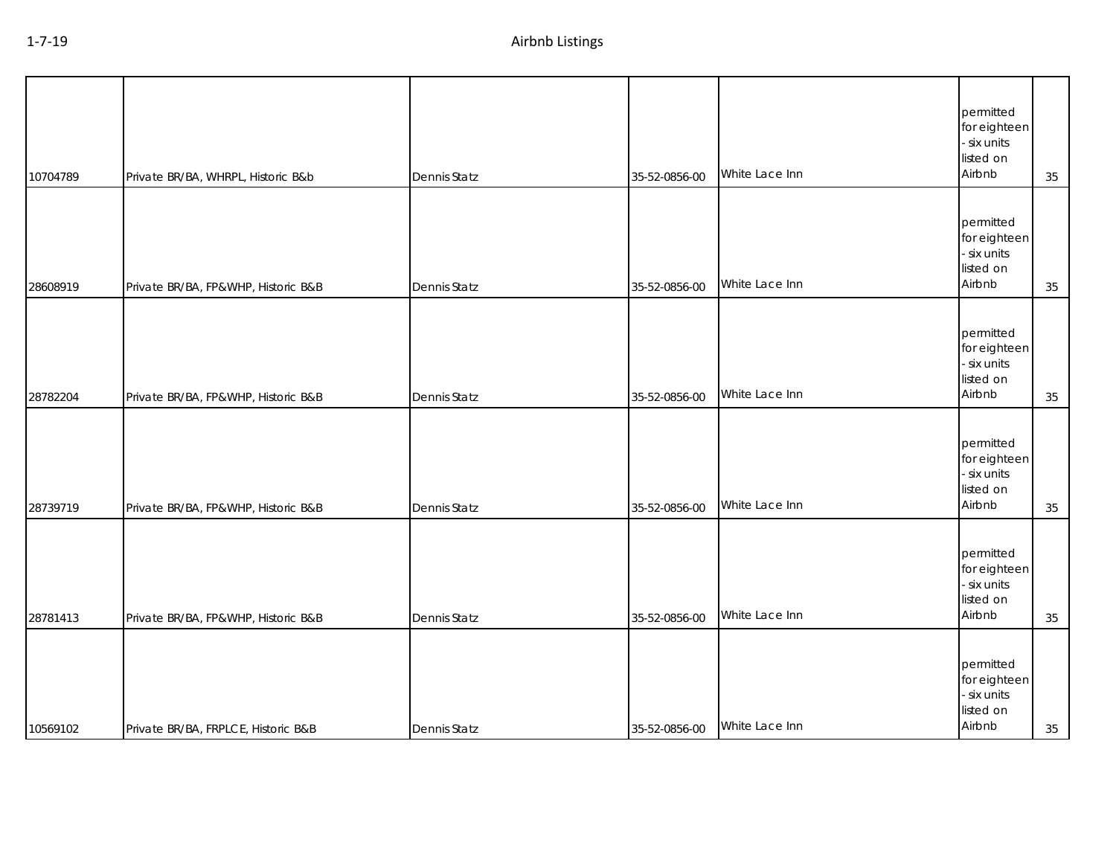| 10704789 | Private BR/BA, WHRPL, Historic B&b  | Dennis Statz | 35-52-0856-00 | White Lace Inn | permitted<br>for eighteen<br>- six units<br>listed on<br>Airbnb | 35 |
|----------|-------------------------------------|--------------|---------------|----------------|-----------------------------------------------------------------|----|
| 28608919 | Private BR/BA, FP&WHP, Historic B&B | Dennis Statz | 35-52-0856-00 | White Lace Inn | permitted<br>for eighteen<br>- six units<br>listed on<br>Airbnb | 35 |
| 28782204 | Private BR/BA, FP&WHP, Historic B&B | Dennis Statz | 35-52-0856-00 | White Lace Inn | permitted<br>for eighteen<br>- six units<br>listed on<br>Airbnb | 35 |
| 28739719 | Private BR/BA, FP&WHP, Historic B&B | Dennis Statz | 35-52-0856-00 | White Lace Inn | permitted<br>for eighteen<br>- six units<br>listed on<br>Airbnb | 35 |
| 28781413 | Private BR/BA, FP&WHP, Historic B&B | Dennis Statz | 35-52-0856-00 | White Lace Inn | permitted<br>for eighteen<br>- six units<br>listed on<br>Airbnb | 35 |
| 10569102 | Private BR/BA, FRPLCE, Historic B&B | Dennis Statz | 35-52-0856-00 | White Lace Inn | permitted<br>for eighteen<br>- six units<br>listed on<br>Airbnb | 35 |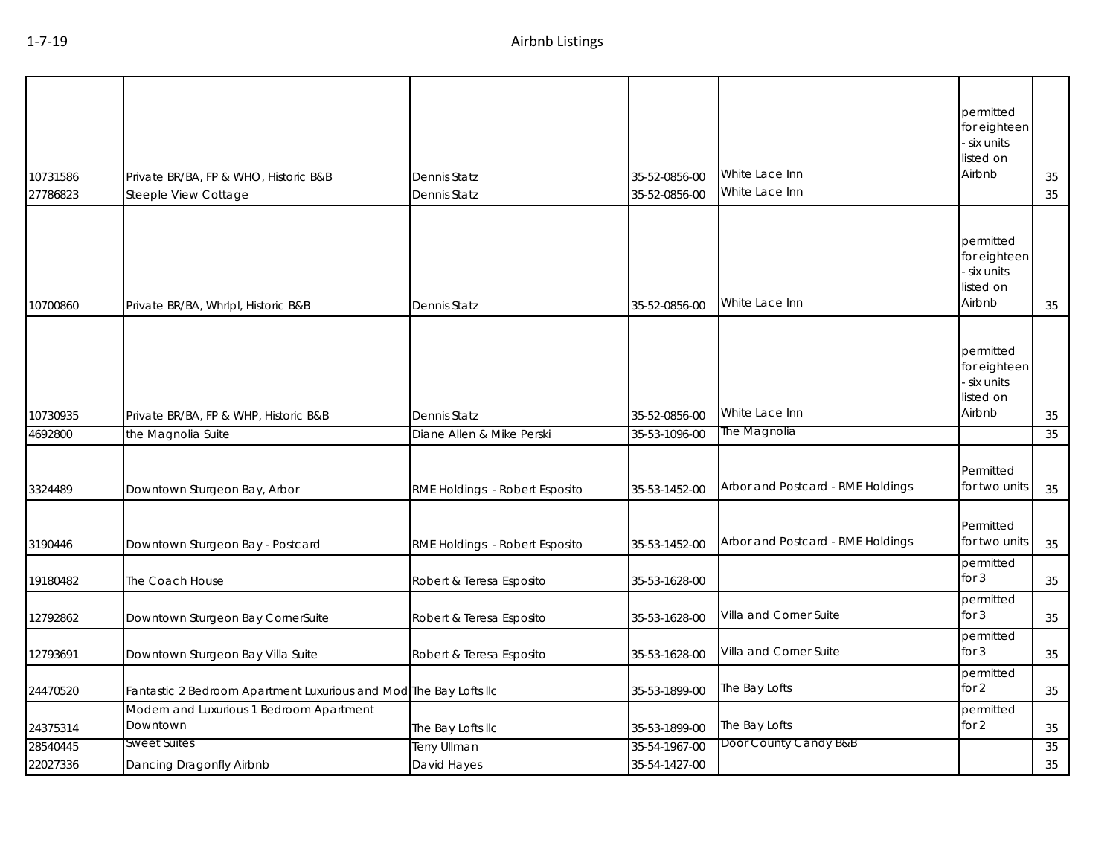| 10731586           | Private BR/BA, FP & WHO, Historic B&B                             | Dennis Statz                                                     | 35-52-0856-00                  | White Lace Inn                                                         | permitted<br>for eighteen<br>six units<br>listed on<br>Airbnb | 35       |
|--------------------|-------------------------------------------------------------------|------------------------------------------------------------------|--------------------------------|------------------------------------------------------------------------|---------------------------------------------------------------|----------|
| 27786823           | Steeple View Cottage                                              | Dennis Statz                                                     | 35-52-0856-00                  | White Lace Inn                                                         |                                                               | 35       |
| 10700860           | Private BR/BA, Whrlpl, Historic B&B                               | Dennis Statz                                                     | 35-52-0856-00                  | White Lace Inn                                                         | permitted<br>for eighteen<br>six units<br>listed on<br>Airbnb | 35       |
| 10730935           | Private BR/BA, FP & WHP, Historic B&B                             | Dennis Statz                                                     | 35-52-0856-00                  | White Lace Inn                                                         | permitted<br>for eighteen<br>six units<br>listed on<br>Airbnb | 35       |
| 4692800            | the Magnolia Suite                                                | Diane Allen & Mike Perski                                        | 35-53-1096-00                  | The Magnolia                                                           |                                                               | 35       |
| 3324489<br>3190446 | Downtown Sturgeon Bay, Arbor<br>Downtown Sturgeon Bay - Postcard  | RME Holdings - Robert Esposito<br>RME Holdings - Robert Esposito | 35-53-1452-00<br>35-53-1452-00 | Arbor and Postcard - RME Holdings<br>Arbor and Postcard - RME Holdings | Permitted<br>for two units<br>Permitted<br>for two units      | 35<br>35 |
| 19180482           | The Coach House                                                   | Robert & Teresa Esposito                                         | 35-53-1628-00                  |                                                                        | permitted<br>for $3$                                          | 35       |
| 12792862           | Downtown Sturgeon Bay CornerSuite                                 | Robert & Teresa Esposito                                         | 35-53-1628-00                  | Villa and Corner Suite                                                 | permitted<br>for $3$                                          | 35       |
| 12793691           | Downtown Sturgeon Bay Villa Suite                                 | Robert & Teresa Esposito                                         | 35-53-1628-00                  | Villa and Corner Suite                                                 | permitted<br>for $3$                                          | 35       |
| 24470520           | Fantastic 2 Bedroom Apartment Luxurious and Mod The Bay Lofts IIc |                                                                  | 35-53-1899-00                  | The Bay Lofts                                                          | permitted<br>for $2$                                          | $35\,$   |
| 24375314           | Modern and Luxurious 1 Bedroom Apartment<br>Downtown              | The Bay Lofts IIc                                                | 35-53-1899-00                  | The Bay Lofts                                                          | permitted<br>for $2$                                          | 35       |
| 28540445           | Sweet Suites                                                      | <b>Terry Ullman</b>                                              | 35-54-1967-00                  | Door County Candy B&B                                                  |                                                               | 35       |
| 22027336           | Dancing Dragonfly Airbnb                                          | David Hayes                                                      | 35-54-1427-00                  |                                                                        |                                                               | 35       |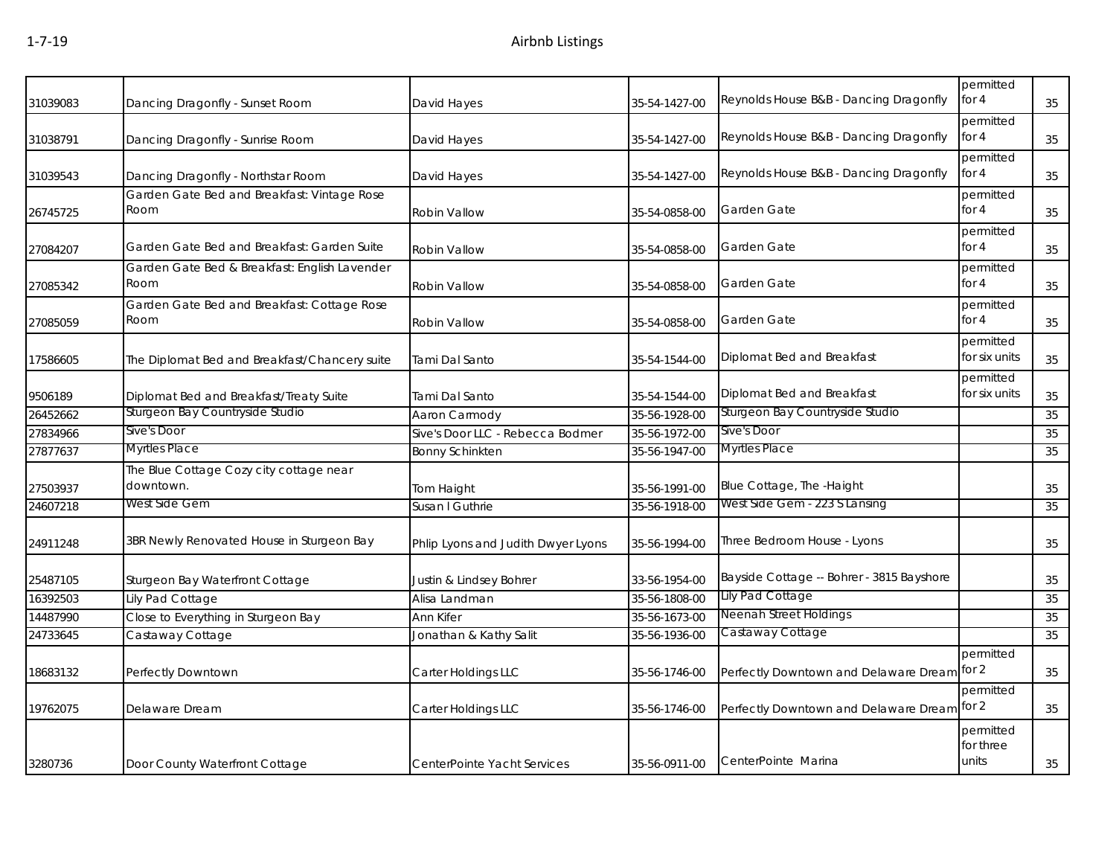| 31039083 | Dancing Dragonfly - Sunset Room                       | David Hayes                        | 35-54-1427-00 | Reynolds House B&B - Dancing Dragonfly    | permitted<br>for 4              | 35 |
|----------|-------------------------------------------------------|------------------------------------|---------------|-------------------------------------------|---------------------------------|----|
| 31038791 | Dancing Dragonfly - Sunrise Room                      | David Hayes                        | 35-54-1427-00 | Reynolds House B&B - Dancing Dragonfly    | permitted<br>for $4$            | 35 |
| 31039543 | Dancing Dragonfly - Northstar Room                    | David Hayes                        | 35-54-1427-00 | Reynolds House B&B - Dancing Dragonfly    | permitted<br>for $4$            | 35 |
| 26745725 | Garden Gate Bed and Breakfast: Vintage Rose<br>Room   | Robin Vallow                       | 35-54-0858-00 | Garden Gate                               | permitted<br>for $4$            | 35 |
| 27084207 | Garden Gate Bed and Breakfast: Garden Suite           | Robin Vallow                       | 35-54-0858-00 | Garden Gate                               | permitted<br>for $4$            | 35 |
| 27085342 | Garden Gate Bed & Breakfast: English Lavender<br>Room | Robin Vallow                       | 35-54-0858-00 | Garden Gate                               | permitted<br>for $4$            | 35 |
| 27085059 | Garden Gate Bed and Breakfast: Cottage Rose<br>Room   | Robin Vallow                       | 35-54-0858-00 | Garden Gate                               | permitted<br>for $4$            | 35 |
| 17586605 | The Diplomat Bed and Breakfast/Chancery suite         | Tami Dal Santo                     | 35-54-1544-00 | Diplomat Bed and Breakfast                | permitted<br>for six units      | 35 |
| 9506189  | Diplomat Bed and Breakfast/Treaty Suite               | Tami Dal Santo                     | 35-54-1544-00 | Diplomat Bed and Breakfast                | permitted<br>for six units      | 35 |
| 26452662 | Sturgeon Bay Countryside Studio                       | Aaron Carmody                      | 35-56-1928-00 | Sturgeon Bay Countryside Studio           |                                 | 35 |
| 27834966 | Sive's Door                                           | Sive's Door LLC - Rebecca Bodmer   | 35-56-1972-00 | Sive's Door                               |                                 | 35 |
| 27877637 | Myrtles Place                                         | <b>Bonny Schinkten</b>             | 35-56-1947-00 | <b>Myrtles Place</b>                      |                                 | 35 |
| 27503937 | The Blue Cottage Cozy city cottage near<br>downtown.  | Tom Haight                         | 35-56-1991-00 | Blue Cottage, The -Haight                 |                                 | 35 |
| 24607218 | West Side Gem                                         | Susan I Guthrie                    | 35-56-1918-00 | West Side Gem - 223 S Lansing             |                                 | 35 |
| 24911248 | 3BR Newly Renovated House in Sturgeon Bay             | Phlip Lyons and Judith Dwyer Lyons | 35-56-1994-00 | Three Bedroom House - Lyons               |                                 | 35 |
| 25487105 | Sturgeon Bay Waterfront Cottage                       | Justin & Lindsey Bohrer            | 33-56-1954-00 | Bayside Cottage -- Bohrer - 3815 Bayshore |                                 | 35 |
| 16392503 | Lily Pad Cottage                                      | Alisa Landman                      | 35-56-1808-00 | Lily Pad Cottage                          |                                 | 35 |
| 14487990 | Close to Everything in Sturgeon Bay                   | Ann Kifer                          | 35-56-1673-00 | Neenah Street Holdings                    |                                 | 35 |
| 24733645 | Castaway Cottage                                      | Jonathan & Kathy Salit             | 35-56-1936-00 | Castaway Cottage                          |                                 | 35 |
| 18683132 | Perfectly Downtown                                    | Carter Holdings LLC                | 35-56-1746-00 | Perfectly Downtown and Delaware Dream     | permitted<br>for $2$            | 35 |
| 19762075 | Delaware Dream                                        | Carter Holdings LLC                | 35-56-1746-00 | Perfectly Downtown and Delaware Dream     | permitted<br>for $2$            | 35 |
| 3280736  | Door County Waterfront Cottage                        | CenterPointe Yacht Services        | 35-56-0911-00 | CenterPointe Marina                       | permitted<br>for three<br>units | 35 |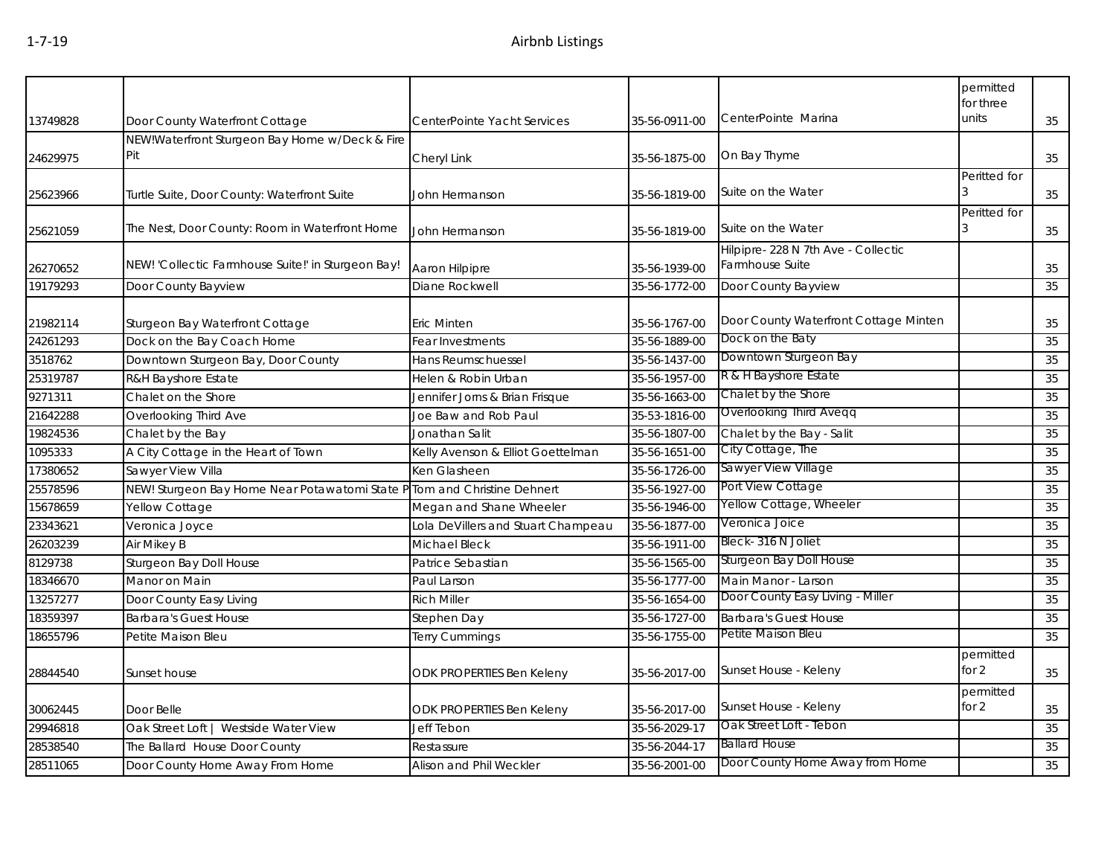|          |                                                                          |                                    |               |                                                       | permitted<br>for three |    |
|----------|--------------------------------------------------------------------------|------------------------------------|---------------|-------------------------------------------------------|------------------------|----|
| 13749828 | Door County Waterfront Cottage                                           | CenterPointe Yacht Services        | 35-56-0911-00 | CenterPointe Marina                                   | units                  | 35 |
| 24629975 | NEW!Waterfront Sturgeon Bay Home w/Deck & Fire<br>Pit                    | Cheryl Link                        | 35-56-1875-00 | On Bay Thyme                                          |                        | 35 |
| 25623966 | Turtle Suite, Door County: Waterfront Suite                              | John Hermanson                     | 35-56-1819-00 | Suite on the Water                                    | Peritted for<br>3      | 35 |
| 25621059 | The Nest, Door County: Room in Waterfront Home                           | John Hermanson                     | 35-56-1819-00 | Suite on the Water                                    | Peritted for<br>3      | 35 |
| 26270652 | NEW! 'Collectic Farmhouse Suite!' in Sturgeon Bay!                       | Aaron Hilpipre                     | 35-56-1939-00 | Hilpipre-228 N 7th Ave - Collectic<br>Farmhouse Suite |                        | 35 |
| 19179293 | Door County Bayview                                                      | Diane Rockwell                     | 35-56-1772-00 | Door County Bayview                                   |                        | 35 |
| 21982114 | Sturgeon Bay Waterfront Cottage                                          | Eric Minten                        | 35-56-1767-00 | Door County Waterfront Cottage Minten                 |                        | 35 |
| 24261293 | Dock on the Bay Coach Home                                               | Fear Investments                   | 35-56-1889-00 | Dock on the Baty                                      |                        | 35 |
| 3518762  | Downtown Sturgeon Bay, Door County                                       | Hans Reumschuessel                 | 35-56-1437-00 | Downtown Sturgeon Bay                                 |                        | 35 |
| 25319787 | R&H Bayshore Estate                                                      | Helen & Robin Urban                | 35-56-1957-00 | R & H Bayshore Estate                                 |                        | 35 |
| 9271311  | Chalet on the Shore                                                      | Jennifer Jorns & Brian Frisque     | 35-56-1663-00 | Chalet by the Shore                                   |                        | 35 |
| 21642288 | Overlooking Third Ave                                                    | Joe Baw and Rob Paul               | 35-53-1816-00 | Overlooking Third Aveqq                               |                        | 35 |
| 19824536 | Chalet by the Bay                                                        | Jonathan Salit                     | 35-56-1807-00 | Chalet by the Bay - Salit                             |                        | 35 |
| 1095333  | A City Cottage in the Heart of Town                                      | Kelly Avenson & Elliot Goettelman  | 35-56-1651-00 | City Cottage, The                                     |                        | 35 |
| 17380652 | Sawyer View Villa                                                        | Ken Glasheen                       | 35-56-1726-00 | Sawyer View Village                                   |                        | 35 |
| 25578596 | NEW! Sturgeon Bay Home Near Potawatomi State P Tom and Christine Dehnert |                                    | 35-56-1927-00 | Port View Cottage                                     |                        | 35 |
| 15678659 | Yellow Cottage                                                           | Megan and Shane Wheeler            | 35-56-1946-00 | Yellow Cottage, Wheeler                               |                        | 35 |
| 23343621 | Veronica Joyce                                                           | Lola DeVillers and Stuart Champeau | 35-56-1877-00 | Veronica Joice                                        |                        | 35 |
| 26203239 | Air Mikey B                                                              | Michael Bleck                      | 35-56-1911-00 | Bleck-316 N Joliet                                    |                        | 35 |
| 8129738  | Sturgeon Bay Doll House                                                  | Patrice Sebastian                  | 35-56-1565-00 | Sturgeon Bay Doll House                               |                        | 35 |
| 18346670 | Manor on Main                                                            | Paul Larson                        | 35-56-1777-00 | Main Manor - Larson                                   |                        | 35 |
| 13257277 | Door County Easy Living                                                  | <b>Rich Miller</b>                 | 35-56-1654-00 | Door County Easy Living - Miller                      |                        | 35 |
| 18359397 | <b>Barbara's Guest House</b>                                             | Stephen Day                        | 35-56-1727-00 | <b>Barbara's Guest House</b>                          |                        | 35 |
| 18655796 | Petite Maison Bleu                                                       | <b>Terry Cummings</b>              | 35-56-1755-00 | Petite Maison Bleu                                    |                        | 35 |
| 28844540 | Sunset house                                                             | ODK PROPERTIES Ben Keleny          | 35-56-2017-00 | Sunset House - Keleny                                 | permitted<br>for $2$   | 35 |
| 30062445 | Door Belle                                                               | ODK PROPERTIES Ben Keleny          | 35-56-2017-00 | Sunset House - Keleny                                 | permitted<br>for 2     | 35 |
| 29946818 | Oak Street Loft   Westside Water View                                    | Jeff Tebon                         | 35-56-2029-17 | Oak Street Loft - Tebon                               |                        | 35 |
| 28538540 | The Ballard House Door County                                            | Restassure                         | 35-56-2044-17 | <b>Ballard House</b>                                  |                        | 35 |
| 28511065 | Door County Home Away From Home                                          | Alison and Phil Weckler            | 35-56-2001-00 | Door County Home Away from Home                       |                        | 35 |
|          |                                                                          |                                    |               |                                                       |                        |    |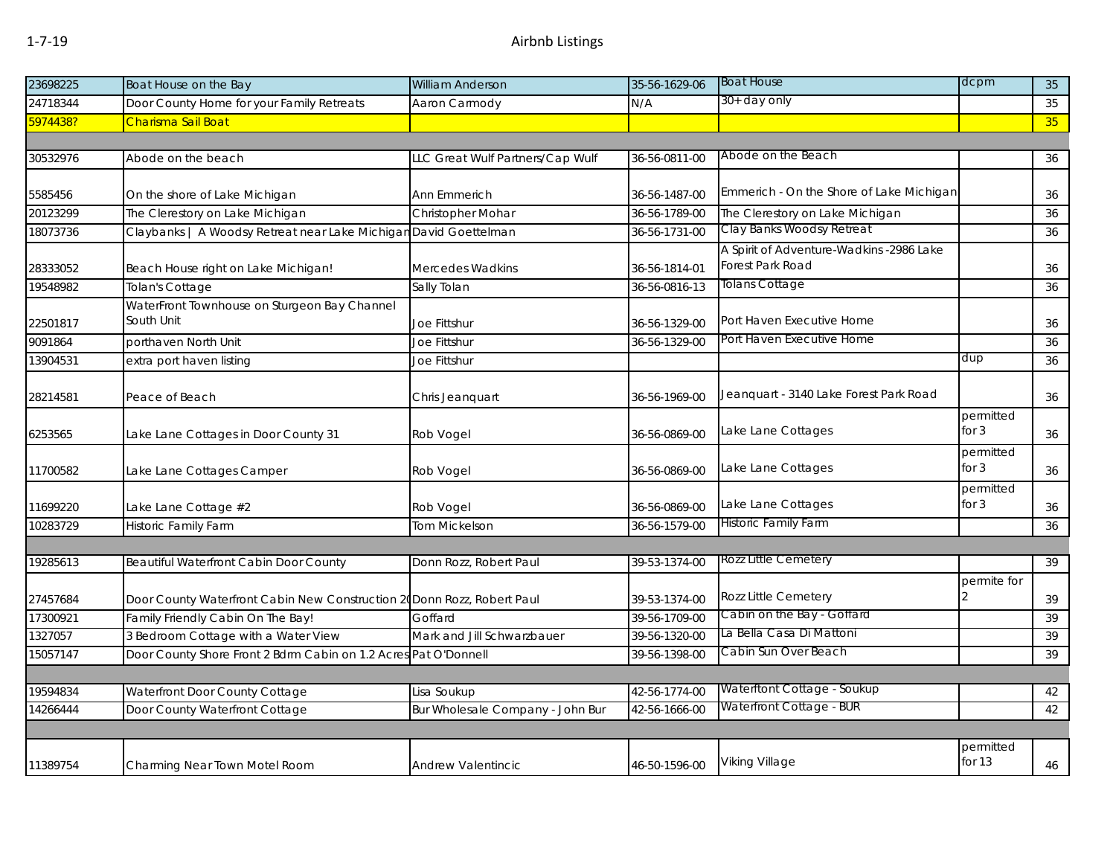| 23698225 | Boat House on the Bay                                                   | <b>William Anderson</b>          | 35-56-1629-06 | <b>Boat House</b>                        | dcpm        | 35              |
|----------|-------------------------------------------------------------------------|----------------------------------|---------------|------------------------------------------|-------------|-----------------|
| 24718344 | Door County Home for your Family Retreats                               | Aaron Carmody                    | N/A           | 30+ day only                             |             | 35              |
| 5974438? | Charisma Sail Boat                                                      |                                  |               |                                          |             | 35 <sup>°</sup> |
|          |                                                                         |                                  |               |                                          |             |                 |
| 30532976 | Abode on the beach                                                      | LLC Great Wulf Partners/Cap Wulf | 36-56-0811-00 | Abode on the Beach                       |             | 36              |
|          |                                                                         |                                  |               |                                          |             |                 |
| 5585456  | On the shore of Lake Michigan                                           | Ann Emmerich                     | 36-56-1487-00 | Emmerich - On the Shore of Lake Michigan |             | 36              |
| 20123299 | The Clerestory on Lake Michigan                                         | Christopher Mohar                | 36-56-1789-00 | The Clerestory on Lake Michigan          |             | 36              |
| 18073736 | Claybanks   A Woodsy Retreat near Lake Michigan David Goettelman        |                                  | 36-56-1731-00 | Clay Banks Woodsy Retreat                |             | 36              |
|          |                                                                         |                                  |               | A Spirit of Adventure-Wadkins -2986 Lake |             |                 |
| 28333052 | Beach House right on Lake Michigan!                                     | Mercedes Wadkins                 | 36-56-1814-01 | Forest Park Road                         |             | 36              |
| 19548982 | Tolan's Cottage                                                         | Sally Tolan                      | 36-56-0816-13 | Tolans Cottage                           |             | 36              |
|          | WaterFront Townhouse on Sturgeon Bay Channel                            |                                  |               |                                          |             |                 |
| 22501817 | South Unit                                                              | Joe Fittshur                     | 36-56-1329-00 | Port Haven Executive Home                |             | 36              |
| 9091864  | porthaven North Unit                                                    | Joe Fittshur                     | 36-56-1329-00 | Port Haven Executive Home                |             | 36              |
| 13904531 | extra port haven listing                                                | Joe Fittshur                     |               |                                          | dup         | 36              |
|          |                                                                         |                                  |               |                                          |             |                 |
| 28214581 | Peace of Beach                                                          | Chris Jeanquart                  | 36-56-1969-00 | Jeanquart - 3140 Lake Forest Park Road   |             | 36              |
|          |                                                                         |                                  |               |                                          | permitted   |                 |
| 6253565  | Lake Lane Cottages in Door County 31                                    | Rob Vogel                        | 36-56-0869-00 | Lake Lane Cottages                       | for $3$     | 36              |
|          |                                                                         |                                  |               |                                          | permitted   |                 |
| 11700582 | Lake Lane Cottages Camper                                               | Rob Vogel                        | 36-56-0869-00 | Lake Lane Cottages                       | for $3$     | 36              |
|          |                                                                         |                                  |               |                                          | permitted   |                 |
| 11699220 | Lake Lane Cottage #2                                                    | Rob Vogel                        | 36-56-0869-00 | Lake Lane Cottages                       | for $3$     | 36              |
| 10283729 | <b>Historic Family Farm</b>                                             | <b>Tom Mickelson</b>             | 36-56-1579-00 | <b>Historic Family Farm</b>              |             | 36              |
|          |                                                                         |                                  |               |                                          |             |                 |
| 19285613 | Beautiful Waterfront Cabin Door County                                  | Donn Rozz, Robert Paul           | 39-53-1374-00 | Rozz Little Cemetery                     |             | 39              |
|          |                                                                         |                                  |               |                                          | permite for |                 |
| 27457684 | Door County Waterfront Cabin New Construction 20 Donn Rozz, Robert Paul |                                  | 39-53-1374-00 | <b>Rozz Little Cemetery</b>              |             | 39              |
| 17300921 | Family Friendly Cabin On The Bay!                                       | Goffard                          | 39-56-1709-00 | Cabin on the Bay - Goffard               |             | 39              |
| 1327057  | 3 Bedroom Cottage with a Water View                                     | Mark and Jill Schwarzbauer       | 39-56-1320-00 | La Bella Casa Di Mattoni                 |             | 39              |
| 15057147 | Door County Shore Front 2 Bdrm Cabin on 1.2 Acres Pat O'Donnell         |                                  | 39-56-1398-00 | Cabin Sun Over Beach                     |             | 39              |
|          |                                                                         |                                  |               |                                          |             |                 |
| 19594834 | Waterfront Door County Cottage                                          | Lisa Soukup                      | 42-56-1774-00 | Waterftont Cottage - Soukup              |             | 42              |
| 14266444 | Door County Waterfront Cottage                                          | Bur Wholesale Company - John Bur | 42-56-1666-00 | Waterfront Cottage - BUR                 |             | 42              |
|          |                                                                         |                                  |               |                                          |             |                 |
|          |                                                                         |                                  |               |                                          | permitted   |                 |
| 11389754 | Charming Near Town Motel Room                                           | <b>Andrew Valentincic</b>        | 46-50-1596-00 | <b>Viking Village</b>                    | for 13      | 46              |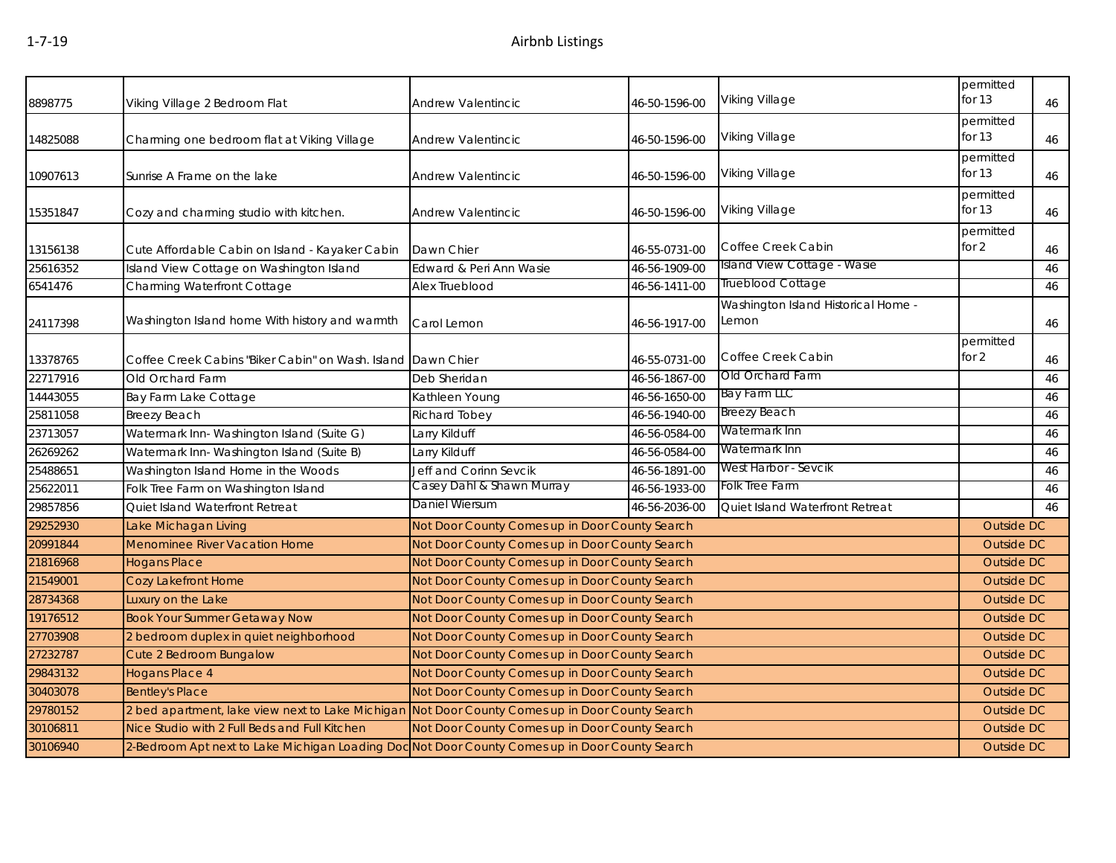| 8898775  | Viking Village 2 Bedroom Flat                                                                  | Andrew Valentincic                             | 46-50-1596-00 | Viking Village                               | permitted<br>for $13$ | 46 |
|----------|------------------------------------------------------------------------------------------------|------------------------------------------------|---------------|----------------------------------------------|-----------------------|----|
| 14825088 | Charming one bedroom flat at Viking Village                                                    | Andrew Valentincic                             | 46-50-1596-00 | Viking Village                               | permitted<br>for $13$ | 46 |
| 10907613 | Sunrise A Frame on the lake                                                                    | Andrew Valentincic                             | 46-50-1596-00 | Viking Village                               | permitted<br>for 13   | 46 |
| 15351847 | Cozy and charming studio with kitchen.                                                         | Andrew Valentincic                             | 46-50-1596-00 | Viking Village                               | permitted<br>for 13   | 46 |
| 13156138 | Cute Affordable Cabin on Island - Kayaker Cabin                                                | Dawn Chier                                     | 46-55-0731-00 | Coffee Creek Cabin                           | permitted<br>for $2$  | 46 |
| 25616352 | Island View Cottage on Washington Island                                                       | Edward & Peri Ann Wasie                        | 46-56-1909-00 | Island View Cottage - Wasie                  |                       | 46 |
| 6541476  | Charming Waterfront Cottage                                                                    | Alex Trueblood                                 | 46-56-1411-00 | Trueblood Cottage                            |                       | 46 |
| 24117398 | Washington Island home With history and warmth                                                 | Carol Lemon                                    | 46-56-1917-00 | Washington Island Historical Home -<br>Lemon |                       | 46 |
| 13378765 | Coffee Creek Cabins "Biker Cabin" on Wash. Island Dawn Chier                                   |                                                | 46-55-0731-00 | Coffee Creek Cabin                           | permitted<br>for $2$  | 46 |
| 22717916 | Old Orchard Farm                                                                               | Deb Sheridan                                   | 46-56-1867-00 | Old Orchard Farm                             |                       | 46 |
| 14443055 | Bay Farm Lake Cottage                                                                          | Kathleen Young                                 | 46-56-1650-00 | Bay Farm LLC                                 |                       | 46 |
| 25811058 | Breezy Beach                                                                                   | Richard Tobey                                  | 46-56-1940-00 | <b>Breezy Beach</b>                          |                       | 46 |
| 23713057 | Watermark Inn-Washington Island (Suite G)                                                      | Larry Kilduff                                  | 46-56-0584-00 | Watermark Inn                                |                       | 46 |
| 26269262 | Watermark Inn-Washington Island (Suite B)                                                      | Larry Kilduff                                  | 46-56-0584-00 | Watermark Inn                                |                       | 46 |
| 25488651 | Washington Island Home in the Woods                                                            | Jeff and Corinn Sevcik                         | 46-56-1891-00 | West Harbor - Sevcik                         |                       | 46 |
| 25622011 | Folk Tree Farm on Washington Island                                                            | Casey Dahl & Shawn Murray                      | 46-56-1933-00 | Folk Tree Farm                               |                       | 46 |
| 29857856 | Quiet Island Waterfront Retreat                                                                | Daniel Wiersum                                 | 46-56-2036-00 | Quiet Island Waterfront Retreat              |                       | 46 |
| 29252930 | Lake Michagan Living                                                                           | Not Door County Comes up in Door County Search |               |                                              | Outside DC            |    |
| 20991844 | <b>Menominee River Vacation Home</b>                                                           | Not Door County Comes up in Door County Search |               |                                              | <b>Outside DC</b>     |    |
| 21816968 | <b>Hogans Place</b>                                                                            | Not Door County Comes up in Door County Search |               |                                              | <b>Outside DC</b>     |    |
| 21549001 | Cozy Lakefront Home                                                                            | Not Door County Comes up in Door County Search |               |                                              | <b>Outside DC</b>     |    |
| 28734368 | Luxury on the Lake                                                                             | Not Door County Comes up in Door County Search |               |                                              | <b>Outside DC</b>     |    |
| 19176512 | <b>Book Your Summer Getaway Now</b>                                                            | Not Door County Comes up in Door County Search |               |                                              | <b>Outside DC</b>     |    |
| 27703908 | 2 bedroom duplex in quiet neighborhood                                                         | Not Door County Comes up in Door County Search |               |                                              | <b>Outside DC</b>     |    |
| 27232787 | Cute 2 Bedroom Bungalow                                                                        | Not Door County Comes up in Door County Search |               |                                              | <b>Outside DC</b>     |    |
| 29843132 | <b>Hogans Place 4</b>                                                                          | Not Door County Comes up in Door County Search |               |                                              | Outside DC            |    |
| 30403078 | <b>Bentley's Place</b>                                                                         | Not Door County Comes up in Door County Search |               |                                              | <b>Outside DC</b>     |    |
| 29780152 | 2 bed apartment, lake view next to Lake Michigan                                               | Not Door County Comes up in Door County Search |               |                                              | <b>Outside DC</b>     |    |
| 30106811 | Nice Studio with 2 Full Beds and Full Kitchen                                                  | Not Door County Comes up in Door County Search |               |                                              | Outside DC            |    |
| 30106940 | 2-Bedroom Apt next to Lake Michigan Loading Doc Not Door County Comes up in Door County Search |                                                |               |                                              | Outside DC            |    |
|          |                                                                                                |                                                |               |                                              |                       |    |